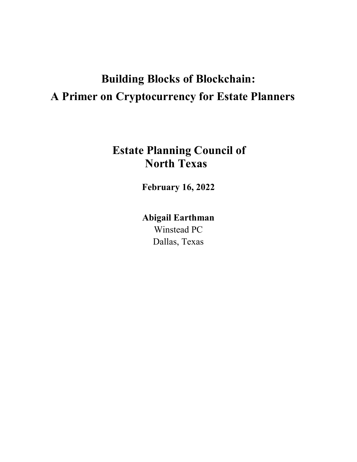# **Building Blocks of Blockchain: A Primer on Cryptocurrency for Estate Planners**

## **Estate Planning Council of North Texas**

**February 16, 2022**

**Abigail Earthman**  Winstead PC Dallas, Texas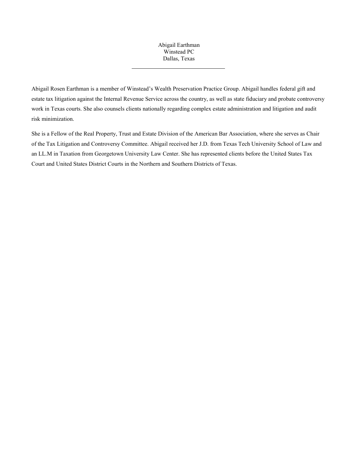## Abigail Earthman Winstead PC Dallas, Texas

Abigail Rosen Earthman is a member of Winstead's Wealth Preservation Practice Group. Abigail handles federal gift and estate tax litigation against the Internal Revenue Service across the country, as well as state fiduciary and probate controversy work in Texas courts. She also counsels clients nationally regarding complex estate administration and litigation and audit risk minimization.

She is a Fellow of the Real Property, Trust and Estate Division of the American Bar Association, where she serves as Chair of the Tax Litigation and Controversy Committee. Abigail received her J.D. from Texas Tech University School of Law and an LL.M in Taxation from Georgetown University Law Center. She has represented clients before the United States Tax Court and United States District Courts in the Northern and Southern Districts of Texas.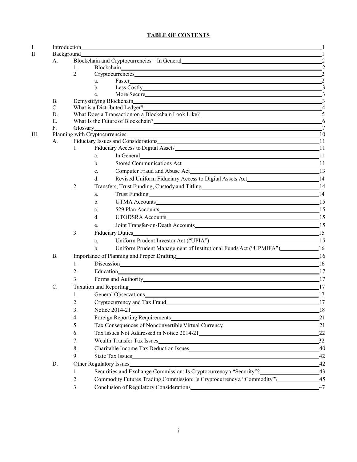## **TABLE OF CONTENTS**

| $\mathbf{I}$ .<br>II. |           |                                                                                                                           |                                                                                                                                                                                                                                                                                                                                                                                                                                                                 |                |  |
|-----------------------|-----------|---------------------------------------------------------------------------------------------------------------------------|-----------------------------------------------------------------------------------------------------------------------------------------------------------------------------------------------------------------------------------------------------------------------------------------------------------------------------------------------------------------------------------------------------------------------------------------------------------------|----------------|--|
|                       |           |                                                                                                                           |                                                                                                                                                                                                                                                                                                                                                                                                                                                                 |                |  |
|                       | А.        | Blockchain and Cryptocurrencies – In General 22<br>Blockchain 2<br>1.                                                     |                                                                                                                                                                                                                                                                                                                                                                                                                                                                 |                |  |
|                       |           | 2.                                                                                                                        | Cryptocurrencies and the contract of the contract of the contract of the contract of the contract of the contract of the contract of the contract of the contract of the contract of the contract of the contract of the contr                                                                                                                                                                                                                                  | $\overline{2}$ |  |
|                       |           |                                                                                                                           | Faster 2<br>$a_{-}$                                                                                                                                                                                                                                                                                                                                                                                                                                             |                |  |
|                       |           |                                                                                                                           | Less Costly 3<br>$\mathbf{b}$ .                                                                                                                                                                                                                                                                                                                                                                                                                                 |                |  |
|                       |           |                                                                                                                           | More Secure<br>$\mathbf{c}$ .                                                                                                                                                                                                                                                                                                                                                                                                                                   |                |  |
|                       | В.        |                                                                                                                           |                                                                                                                                                                                                                                                                                                                                                                                                                                                                 |                |  |
|                       | C.        | Demystifying Blockchain<br>What is a Distributed Ledger?<br>4<br>What Does a Transaction on a Blockchain Look Like?<br>D. |                                                                                                                                                                                                                                                                                                                                                                                                                                                                 |                |  |
|                       |           |                                                                                                                           |                                                                                                                                                                                                                                                                                                                                                                                                                                                                 |                |  |
|                       | Ε.        | What Is the Future of Blockchain? 6                                                                                       |                                                                                                                                                                                                                                                                                                                                                                                                                                                                 |                |  |
|                       | F.        | Planning with Cryptocurrencies 10                                                                                         |                                                                                                                                                                                                                                                                                                                                                                                                                                                                 |                |  |
| Ш.                    |           |                                                                                                                           | Fiduciary Issues and Considerations_                                                                                                                                                                                                                                                                                                                                                                                                                            |                |  |
|                       | A.        | 1.                                                                                                                        | Fiduciary Access to Digital Assets 11                                                                                                                                                                                                                                                                                                                                                                                                                           |                |  |
|                       |           |                                                                                                                           | In General 2012 and 2013 and 2013 and 2013 and 2013 and 2013 and 2013 and 2013 and 2013 and 2013 and 2013 and 2013 and 2013 and 2013 and 2013 and 2013 and 2013 and 2013 and 2013 and 2013 and 2013 and 2013 and 2013 and 2013                                                                                                                                                                                                                                  |                |  |
|                       |           |                                                                                                                           | a.                                                                                                                                                                                                                                                                                                                                                                                                                                                              |                |  |
|                       |           |                                                                                                                           | $\mathbf{b}$ .                                                                                                                                                                                                                                                                                                                                                                                                                                                  |                |  |
|                       |           |                                                                                                                           | Computer Fraud and Abuse Act 13<br>$\mathbf{c}$ .                                                                                                                                                                                                                                                                                                                                                                                                               |                |  |
|                       |           |                                                                                                                           | Revised Uniform Fiduciary Access to Digital Assets Act___________________________14<br>$d_{\cdot}$                                                                                                                                                                                                                                                                                                                                                              |                |  |
|                       |           | 2.                                                                                                                        |                                                                                                                                                                                                                                                                                                                                                                                                                                                                 |                |  |
|                       |           |                                                                                                                           | Trust Funding 14<br>a.                                                                                                                                                                                                                                                                                                                                                                                                                                          |                |  |
|                       |           |                                                                                                                           | UTMA Accounts 15<br>$\mathbf{b}$ .                                                                                                                                                                                                                                                                                                                                                                                                                              |                |  |
|                       |           |                                                                                                                           | 529 Plan Accounts 15<br>$\mathbf{c}$ .                                                                                                                                                                                                                                                                                                                                                                                                                          |                |  |
|                       |           |                                                                                                                           | UTODSRA Accounts 15<br>d.                                                                                                                                                                                                                                                                                                                                                                                                                                       |                |  |
|                       |           |                                                                                                                           | Joint Transfer-on-Death Accounts 15<br>e.                                                                                                                                                                                                                                                                                                                                                                                                                       |                |  |
|                       |           | 3.                                                                                                                        | 15<br>Fiduciary Duties                                                                                                                                                                                                                                                                                                                                                                                                                                          |                |  |
|                       |           |                                                                                                                           | Uniform Prudent Investor Act ("UPIA") 15<br>a.                                                                                                                                                                                                                                                                                                                                                                                                                  |                |  |
|                       |           |                                                                                                                           | Uniform Prudent Management of Institutional Funds Act ("UPMIFA")_______________16<br>$b$                                                                                                                                                                                                                                                                                                                                                                        |                |  |
|                       | <b>B.</b> |                                                                                                                           | Importance of Planning and Proper Drafting 16                                                                                                                                                                                                                                                                                                                                                                                                                   |                |  |
|                       |           | 1.                                                                                                                        | Discussion 16                                                                                                                                                                                                                                                                                                                                                                                                                                                   |                |  |
|                       |           | 2.                                                                                                                        |                                                                                                                                                                                                                                                                                                                                                                                                                                                                 |                |  |
|                       |           | 3.                                                                                                                        | Forms and Authority Management and Authority Management and Authority                                                                                                                                                                                                                                                                                                                                                                                           | 17             |  |
|                       | C.        |                                                                                                                           |                                                                                                                                                                                                                                                                                                                                                                                                                                                                 | 17             |  |
|                       |           | 1.                                                                                                                        | Taxation and Reporting historical contract of the contract of the contract of the contract of the contract of the contract of the contract of the contract of the contract of the contract of the contract of the contract of<br>General Observations and the contract of the contract of the contract of the contract of the contract of the contract of the contract of the contract of the contract of the contract of the contract of the contract of the c |                |  |
|                       |           |                                                                                                                           |                                                                                                                                                                                                                                                                                                                                                                                                                                                                 | 17             |  |
|                       |           |                                                                                                                           | Cryptocurrency and Tax Fraud                                                                                                                                                                                                                                                                                                                                                                                                                                    | 17             |  |
|                       |           | 3.                                                                                                                        | Notice 2014-21 18                                                                                                                                                                                                                                                                                                                                                                                                                                               |                |  |
|                       |           | 4.                                                                                                                        | Foreign Reporting Requirements                                                                                                                                                                                                                                                                                                                                                                                                                                  | 21             |  |
|                       |           | 5.                                                                                                                        | Tax Consequences of Nonconvertible Virtual Currency_____________________________                                                                                                                                                                                                                                                                                                                                                                                | 21             |  |
|                       |           | 6.                                                                                                                        | Tax Issues Not Addressed in Notice 2014-21                                                                                                                                                                                                                                                                                                                                                                                                                      | 22             |  |
|                       |           | 7.                                                                                                                        | Wealth Transfer Tax Issues                                                                                                                                                                                                                                                                                                                                                                                                                                      | $-32$          |  |
|                       |           | 8.                                                                                                                        |                                                                                                                                                                                                                                                                                                                                                                                                                                                                 |                |  |
|                       |           | 9.                                                                                                                        | State Tax Issues                                                                                                                                                                                                                                                                                                                                                                                                                                                | 42             |  |
|                       | D.        | Other Regulatory Issues                                                                                                   |                                                                                                                                                                                                                                                                                                                                                                                                                                                                 |                |  |
|                       |           | 1.                                                                                                                        | Securities and Exchange Commission: Is Cryptocurrency a "Security"?                                                                                                                                                                                                                                                                                                                                                                                             | $-43$          |  |
|                       |           | 2.                                                                                                                        | Commodity Futures Trading Commission: Is Cryptocurrency a "Commodity"?                                                                                                                                                                                                                                                                                                                                                                                          | $-45$          |  |
|                       |           | 3.                                                                                                                        | Conclusion of Regulatory Considerations Conclusion Conclusion of Regulatory Considerations                                                                                                                                                                                                                                                                                                                                                                      | $-47$          |  |
|                       |           |                                                                                                                           |                                                                                                                                                                                                                                                                                                                                                                                                                                                                 |                |  |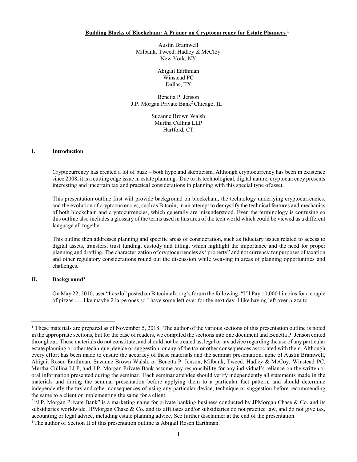**Building Blocks of Blockchain: A Primer on Cryptocurrency for Estate Planner[s 1](#page-4-0)**

Austin Bramwell Milbank, Tweed, Hadley & McCloy New York, NY

> Abigail Earthman Winstead PC Dallas, TX

Benetta P. Jenson J.P. Morgan Private Ban[k2](#page-4-1) Chicago, IL

> Suzanne Brown Walsh Murtha Cullina LLP Hartford, CT

#### **I. Introduction**

Cryptocurrency has created a lot of buzz – both hype and skepticism. Although cryptocurrency has been in existence since 2008, it is a cutting edge issue in estate planning. Due to itstechnological, digital nature, cryptocurrency presents interesting and uncertain tax and practical considerations in planning with this special type of asset.

This presentation outline first will provide background on blockchain, the technology underlying cryptocurrencies, and the evolution of cryptocurrencies, such as Bitcoin, in an attempt to demystify the technical features and mechanics of both blockchain and cryptocurrencies, which generally are misunderstood. Even the terminology is confusing so this outline also includes a glossary of the terms used in this area of the tech world which could be viewed as a different language all together.

This outline then addresses planning and specific areas of consideration, such as fiduciary issues related to access to digital assets, transfers, trust funding, custody and titling, which highlight the importance and the need for proper planning and drafting. The characterization of cryptocurrencies as "property" and not currency for purposes of taxation and other regulatory considerations round out the discussion while weaving in areas of planning opportunities and challenges.

## **II. Backgroun[d3](#page-4-2)**

On May 22, 2010, user "Laszlo" posted on Bitcointalk.org's forum the following: "I'll Pay 10,000 bitcoins for a couple of pizzas . . . like maybe 2 large ones so I have some left over for the next day. I like having left over pizza to

<span id="page-4-0"></span><sup>1</sup> These materials are prepared as of November 5, 2018. The author of the various sections of this presentation outline is noted in the appropriate sections, but for the ease of readers, we compiled the sections into one document and Benetta P. Jenson edited throughout. These materials do not constitute, and should not be treated as, legal or tax advice regarding the use of any particular estate planning or other technique, device or suggestion, or any of the tax or other consequences associated with them. Although every effort has been made to ensure the accuracy of these materials and the seminar presentation, none of Austin Bramwell, Abigail Rosen Earthman, Suzanne Brown Walsh, or Benetta P. Jenson, Milbank, Tweed, Hadley & McCoy, Winstead PC, Murtha Cullina LLP, and J.P. Morgan Private Bank assume any responsibility for any individual's reliance on the written or oral information presented during the seminar. Each seminar attendee should verify independently all statements made in the materials and during the seminar presentation before applying them to a particular fact pattern, and should determine independently the tax and other consequences of using any particular device, technique or suggestion before recommending the same to a client or implementing the same for a client.

<span id="page-4-1"></span><sup>&</sup>lt;sup>2</sup>"J.P. Morgan Private Bank" is a marketing name for private banking business conducted by JPMorgan Chase & Co. and its subsidiaries worldwide. JPMorgan Chase & Co. and its affiliates and/or subsidiaries do not practice law, and do not give tax, accounting or legal advice, including estate planning advice. See further disclaimer at the end of the presentation.

<span id="page-4-2"></span><sup>&</sup>lt;sup>3</sup> The author of Section II of this presentation outline is Abigail Rosen Earthman.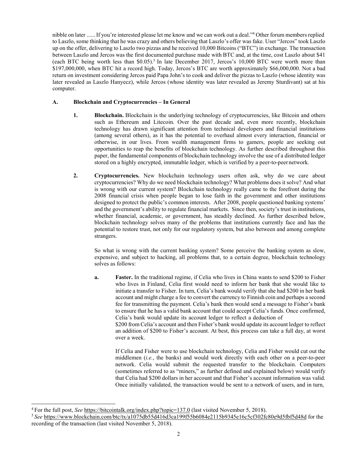nibble on later ......If you're interested please let me know and we can work out a deal.["4](#page-5-0) Other forum members replied to Laszlo, some thinking that he was crazy and others believing that Laszlo's offer was fake. User "Jercos" took Laszlo up on the offer, delivering to Laszlo two pizzas and he received 10,000 Bitcoins ("BTC") in exchange. The transaction between Laszlo and Jercos was the first documented purchase made with BTC and, at the time, cost Laszlo about \$41 (each BTC being worth less than  $$0.05$ ).<sup>5</sup> In late December 2017, Jercos's 10,000 BTC were worth more than \$197,000,000, when BTC hit a record high. Today, Jercos's BTC are worth approximately \$66,000,000. Not a bad return on investment considering Jercos paid Papa John's to cook and deliver the pizzas to Laszlo (whose identity was later revealed as Laszlo Hanyecz), while Jercos (whose identity was later revealed as Jeremy Sturdivant) sat at his computer.

## **A. Blockchain and Cryptocurrencies – In General**

- **1. Blockchain.** Blockchain is the underlying technology of cryptocurrencies, like Bitcoin and others such as Ethereum and Litecoin. Over the past decade and, even more recently, blockchain technology has drawn significant attention from technical developers and financial institutions (among several others), as it has the potential to overhaul almost every interaction, financial or otherwise, in our lives. From wealth management firms to gamers, people are seeking out opportunities to reap the benefits of blockchain technology. As further described throughout this paper, the fundamental components of blockchain technology involve the use of a distributed ledger stored on a highly encrypted, immutable ledger, which is verified by a peer-to-peer network.
- **2. Cryptocurrencies.** New blockchain technology users often ask, why do we care about cryptocurrencies? Why do we need blockchain technology? What problems does it solve? And what is wrong with our current system? Blockchain technology really came to the forefront during the 2008 financial crisis when people began to lose faith in the government and other institutions designed to protect the public's common interests. After 2008, people questioned banking systems' and the government's ability to regulate financial markets. Since then, society's trust in institutions, whether financial, academic, or government, has steadily declined. As further described below, blockchain technology solves many of the problems that institutions currently face and has the potential to restore trust, not only for our regulatory system, but also between and among complete strangers.

So what is wrong with the current banking system? Some perceive the banking system as slow, expensive, and subject to hacking, all problems that, to a certain degree, blockchain technology solves as follows:

**a. Faster.** In the traditional regime, if Celia who lives in China wants to send \$200 to Fisher who lives in Finland, Celia first would need to inform her bank that she would like to initiate a transfer to Fisher. In turn, Celia's bank would verify that she had \$200 in her bank account and might charge a fee to convert the currency to Finnish coin and perhaps a second fee for transmitting the payment. Celia's bank then would send a message to Fisher's bank to ensure that he has a valid bank account that could accept Celia's funds. Once confirmed, Celia's bank would update its account ledger to reflect a deduction of

\$200 from Celia's account and then Fisher's bank would update its account ledger to reflect an addition of \$200 to Fisher's account. At best, this process can take a full day, at worst over a week.

If Celia and Fisher were to use blockchain technology, Celia and Fisher would cut out the middlemen (*i.e.*, the banks) and would work directly with each other on a peer-to-peer network. Celia would submit the requested transfer to the blockchain. Computers (sometimes referred to as "miners," as further defined and explained below) would verify that Celia had \$200 dollars in her account and that Fisher's account information was valid. Once initially validated, the transaction would be sent to a network of users, and in turn,

<span id="page-5-0"></span><sup>4</sup> For the full post, *See* <https://bitcointalk.org/index.php?topic=137.0> (last visited November 5, 2018).

<span id="page-5-1"></span><sup>5</sup>*See* <https://www.blockchain.com/btc/tx/a1075db55d416d3ca199f55b6084e2115b9345e16c5cf302fc80e9d5fbf5d48d> for the recording of the transaction (last visited November 5, 2018).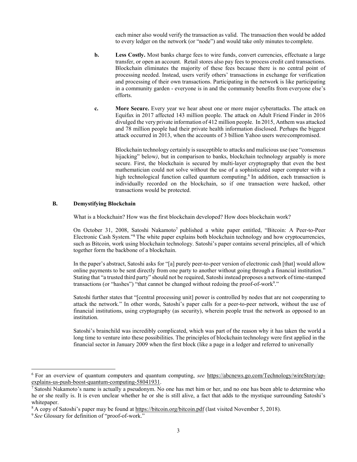each miner also would verify the transaction as valid. The transaction then would be added to every ledger on the network (or "node") and would take only minutes to complete.

- **b. Less Costly.** Most banks charge fees to wire funds, convert currencies, effectuate a large transfer, or open an account. Retail stores also pay fees to process credit card transactions. Blockchain eliminates the majority of these fees because there is no central point of processing needed. Instead, users verify others' transactions in exchange for verification and processing of their own transactions. Participating in the network is like participating in a community garden - everyone is in and the community benefits from everyone else's efforts.
- **c. More Secure.** Every year we hear about one or more major cyberattacks. The attack on Equifax in 2017 affected 143 million people. The attack on Adult Friend Finder in 2016 divulged the very private information of 412 million people. In 2015, Anthem was attacked and 78 million people had their private health information disclosed. Perhaps the biggest attack occurred in 2013, when the accounts of 3 billion Yahoo users werecompromised.

Blockchain technology certainly is susceptible to attacks and malicious use (see "consensus") hijacking" below*)*, but in comparison to banks, blockchain technology arguably is more secure. First, the blockchain is secured by multi-layer cryptography that even the best mathematician could not solve without the use of a sophisticated super computer with a high technological function called quantum computing.<sup>6</sup> In addition, each transaction is individually recorded on the blockchain, so if one transaction were hacked, other transactions would be protected.

#### **B. Demystifying Blockchain**

What is a blockchain? How was the first blockchain developed? How does blockchain work?

On October 31, 2008, Satoshi Nakamoto<sup>7</sup> published a white paper entitled, "Bitcoin: A Peer-to-Peer Electronic Cash System.["8](#page-6-2) The white paper explains both blockchain technology and how cryptocurrencies, such as Bitcoin, work using blockchain technology. Satoshi's paper contains several principles, all of which together form the backbone of a blockchain.

In the paper's abstract, Satoshi asks for "[a] purely peer-to-peer version of electronic cash [that] would allow online payments to be sent directly from one party to another without going through a financial institution." Stating that "a trusted third party" should not be required, Satoshi instead proposes a network of time-stamped transactions (or "hashes") "that cannot be changed without redoing the proof-of-work<sup>9</sup>."

Satoshi further states that "[central processing unit] power is controlled by nodes that are not cooperating to attack the network." In other words, Satoshi's paper calls for a peer-to-peer network, without the use of financial institutions, using cryptography (as security), wherein people trust the network as opposed to an institution.

Satoshi's brainchild was incredibly complicated, which was part of the reason why it has taken the world a long time to venture into these possibilities. The principles of blockchain technology were first applied in the financial sector in January 2009 when the first block (like a page in a ledger and referred to universally

<span id="page-6-0"></span><sup>6</sup> For an overview of quantum computers and quantum computing, *see* [https://abcnews.go.com/Technology/wireStory/ap](https://abcnews.go.com/Technology/wireStory/ap-explains-us-push-boost-quantum-computing-58041931)[explains-us-push-boost-quantum-computing-58041931.](https://abcnews.go.com/Technology/wireStory/ap-explains-us-push-boost-quantum-computing-58041931)

<span id="page-6-1"></span><sup>&</sup>lt;sup>7</sup> Satoshi Nakamoto's name is actually a pseudonym. No one has met him or her, and no one has been able to determine who he or she really is. It is even unclear whether he or she is still alive, a fact that adds to the mystique surrounding Satoshi's whitepaper.

<span id="page-6-2"></span><sup>8</sup> A copy of Satoshi's paper may be found at<https://bitcoin.org/bitcoin.pdf> (last visited November 5, 2018).

<span id="page-6-3"></span><sup>9</sup> *See* Glossary for definition of "proof-of-work."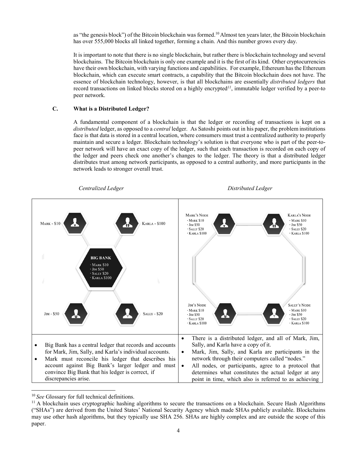as "the genesis block") of the Bitcoin blockchain was formed.<sup>10</sup> Almost ten years later, the Bitcoin blockchain has over 555,000 blocks all linked together, forming a chain. And this number grows every day.

It is important to note that there is no single blockchain, but rather there is blockchain technology and several blockchains. The Bitcoin blockchain is only one example and it is the first of its kind. Other cryptocurrencies have their own blockchain, with varying functions and capabilities. For example, Ethereum has the Ethereum blockchain, which can execute smart contracts, a capability that the Bitcoin blockchain does not have. The essence of blockchain technology, however, is that all blockchains are essentially *distributed ledgers* that record transactions on linked blocks stored on a highly encrypted*[11](#page-7-1)*, immutable ledger verified by a peer-to peer network.

## **C. What is a Distributed Ledger?**

A fundamental component of a blockchain is that the ledger or recording of transactions is kept on a *distributed* ledger, as opposed to a *central* ledger. As Satoshi points out in his paper, the problem institutions face is that data is stored in a central location, where consumers must trust a centralized authority to properly maintain and secure a ledger. Blockchain technology's solution is that everyone who is part of the peer-topeer network will have an exact copy of the ledger, such that each transaction is recorded on each copy of the ledger and peers check one another's changes to the ledger. The theory is that a distributed ledger distributes trust among network participants, as opposed to a central authority, and more participants in the network leads to stronger overall trust.



<span id="page-7-0"></span><sup>10</sup>*See* Glossary for full technical definitions.

<span id="page-7-1"></span><sup>&</sup>lt;sup>11</sup> A blockchain uses cryptographic hashing algorithms to secure the transactions on a blockchain. Secure Hash Algorithms ("SHAs") are derived from the United States' National Security Agency which made SHAs publicly available. Blockchains may use other hash algorithms, but they typically use SHA 256. SHAs are highly complex and are outside the scope of this paper.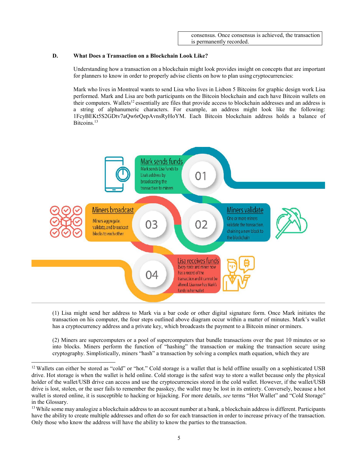## **D. What Does a Transaction on a Blockchain Look Like?**

Understanding how a transaction on a blockchain might look provides insight on concepts that are important for planners to know in order to properly advise clients on how to plan using cryptocurrencies:

Mark who lives in Montreal wants to send Lisa who lives in Lisbon 5 Bitcoins for graphic design work Lisa performed. Mark and Lisa are both participants on the Bitcoin blockchain and each have Bitcoin wallets on their computers. Wallets<sup>12</sup> essentially are files that provide access to blockchain addresses and an address is a string of alphanumeric characters. For example, an address might look like the following: [1FcyBEKt5S2GDtv7aQw6rQepAvnsRyHoYM.](https://www.blockchain.com/btc/address/1DkyBEKt5S2GDtv7aQw6rQepAvnsRyHoYM) Each Bitcoin blockchain address holds a balance of Bitcoins.<sup>13</sup>



(1) Lisa might send her address to Mark via a bar code or other digital signature form. Once Mark initiates the transaction on his computer, the four steps outlined above diagram occur within a matter of minutes. Mark's wallet has a cryptocurrency address and a private key, which broadcasts the payment to a Bitcoin miner orminers.

(2) Miners are supercomputers or a pool of supercomputers that bundle transactions over the past 10 minutes or so into blocks. Miners perform the function of "hashing" the transaction or making the transaction secure using cryptography. Simplistically, miners "hash" a transaction by solving a complex math equation, which they are

<span id="page-8-0"></span><sup>&</sup>lt;sup>12</sup> Wallets can either be stored as "cold" or "hot." Cold storage is a wallet that is held offline usually on a sophisticated USB drive. Hot storage is when the wallet is held online. Cold storage is the safest way to store a wallet because only the physical holder of the wallet/USB drive can access and use the cryptocurrencies stored in the cold wallet. However, if the wallet/USB drive is lost, stolen, or the user fails to remember the passkey, the wallet may be lost in its entirety. Conversely, because a hot wallet is stored online, it is susceptible to hacking or hijacking. For more details, *see* terms "Hot Wallet" and "Cold Storage" in the Glossary.

<span id="page-8-1"></span><sup>&</sup>lt;sup>13</sup> While some may analogize a blockchain address to an account number at a bank, a blockchain address is different. Participants have the ability to create multiple addresses and often do so for each transaction in order to increase privacy of the transaction. Only those who know the address will have the ability to know the parties to the transaction.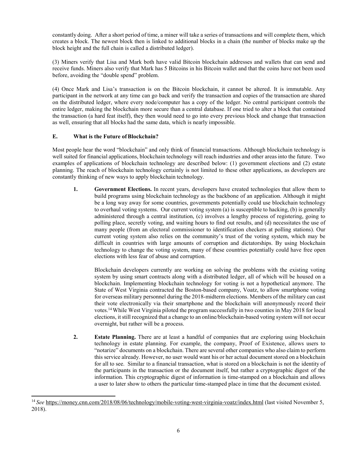constantly doing. After a short period of time, a miner will take a series of transactions and will complete them, which creates a block. The newest block then is linked to additional blocks in a chain (the number of blocks make up the block height and the full chain is called a distributed ledger).

(3) Miners verify that Lisa and Mark both have valid Bitcoin blockchain addresses and wallets that can send and receive funds. Miners also verify that Mark has 5 Bitcoins in his Bitcoin wallet and that the coins have not been used before, avoiding the "double spend" problem.

(4) Once Mark and Lisa's transaction is on the Bitcoin blockchain, it cannot be altered. It is immutable. Any participant in the network at any time can go back and verify the transaction and copies of the transaction are shared on the distributed ledger, where every node/computer has a copy of the ledger. No central participant controls the entire ledger, making the blockchain more secure than a central database. If one tried to alter a block that contained the transaction (a hard feat itself), they then would need to go into every previous block and change that transaction as well, ensuring that all blocks had the same data, which is nearly impossible.

## **E. What is the Future ofBlockchain?**

Most people hear the word "blockchain" and only think of financial transactions. Although blockchain technology is well suited for financial applications, blockchain technology will reach industries and other areas into the future. Two examples of applications of blockchain technology are described below: (1) government elections and (2) estate planning. The reach of blockchain technology certainly is not limited to these other applications, as developers are constantly thinking of new ways to apply blockchain technology.

**1. Government Elections.** In recent years, developers have created technologies that allow them to build programs using blockchain technology as the backbone of an application. Although it might be a long way away for some countries, governments potentially could use blockchain technology to overhaul voting systems. Our current voting system (a) is susceptible to hacking, (b) is generally administered through a central institution, (c) involves a lengthy process of registering, going to polling place, secretly voting, and waiting hours to find out results, and (d) necessitates the use of many people (from an electoral commissioner to identification checkers at polling stations). Our current voting system also relies on the community's trust of the voting system, which may be difficult in countries with large amounts of corruption and dictatorships. By using blockchain technology to change the voting system, many of these countries potentially could have free open elections with less fear of abuse and corruption.

Blockchain developers currently are working on solving the problems with the existing voting system by using smart contracts along with a distributed ledger, all of which will be housed on a blockchain. Implementing blockchain technology for voting is not a hypothetical anymore. The State of West Virginia contracted the Boston-based company, Voatz, to allow smartphone voting for overseas military personnel during the 2018-midterm elections. Members of the military can cast their vote electronically via their smartphone and the blockchain will anonymously record their vote[s.14W](#page-9-0)hile West Virginia piloted the program successfully in two counties in May 2018 for local elections, it still recognized that a change to an online/blockchain-based voting system will not occur overnight, but rather will be a process.

**2. Estate Planning.** There are at least a handful of companies that are exploring using blockchain technology in estate planning. For example, the company, Proof of Existence, allows users to "notarize" documents on a blockchain. There are several other companies who also claim to perform this service already. However, no user would want his or her actual document stored on a blockchain for all to see. Similar to a financial transaction, what is stored on a blockchain is not the identity of the participants in the transaction or the document itself, but rather a cryptographic digest of the information. This cryptographic digest of information is time-stamped on a blockchain and allows a user to later show to others the particular time-stamped place in time that the document existed.

<span id="page-9-0"></span><sup>14</sup>*See* <https://money.cnn.com/2018/08/06/technology/mobile-voting-west-virginia-voatz/index.html> (last visited November 5, 2018).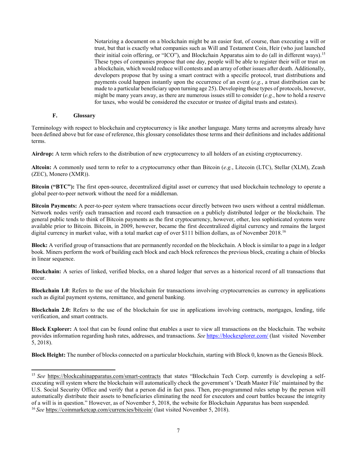Notarizing a document on a blockchain might be an easier feat, of course, than executing a will or trust, but that is exactly what companies such as Will and Testament Coin, Heir (who just launched their initial coin offering, or "ICO"), and Blockchain Apparatus aim to do (all in different ways).<sup>15</sup> These types of companies propose that one day, people will be able to register their will or trust on a blockchain, which would reduce will contests and an array of other issues after death. Additionally, developers propose that by using a smart contract with a specific protocol, trust distributions and payments could happen instantly upon the occurrence of an event (*e.g.*, a trust distribution can be made to a particular beneficiary upon turning age 25). Developing these types of protocols, however, might be many years away, as there are numerous issues still to consider (*e.g.*, how to hold a reserve for taxes, who would be considered the executor or trustee of digital trusts and estates).

### **F. Glossary**

Terminology with respect to blockchain and cryptocurrency is like another language. Many terms and acronyms already have been defined above but for ease of reference, this glossary consolidates those terms and their definitions and includes additional terms.

**Airdrop:** A term which refers to the distribution of new cryptocurrency to all holders of an existing cryptocurrency.

**Altcoin:** A commonly used term to refer to a cryptocurrency other than Bitcoin (*e.g.*, Litecoin (LTC), Stellar (XLM), Zcash (ZEC), Monero (XMR)).

**Bitcoin ("BTC"):** The first open-source, decentralized digital asset or currency that used blockchain technology to operate a global peer-to-peer network without the need for a middleman.

**Bitcoin Payments:** A peer-to-peer system where transactions occur directly between two users without a central middleman. Network nodes verify each transaction and record each transaction on a publicly distributed ledger or the blockchain. The general public tends to think of Bitcoin payments as the first cryptocurrency, however, other, less sophisticated systems were available prior to Bitcoin. Bitcoin, in 2009, however, became the first decentralized digital currency and remains the largest digital currency in market value, with a total market cap of over \$111 billion dollars, as of November 2018.<sup>16</sup>

**Block:** A verified group of transactions that are permanently recorded on the blockchain. A block is similar to a page in a ledger book. Miners perform the work of building each block and each block references the previous block, creating a chain of blocks in linear sequence.

**Blockchain:** A series of linked, verified blocks, on a shared ledger that serves as a historical record of all transactions that occur.

**Blockchain 1.0**: Refers to the use of the blockchain for transactions involving cryptocurrencies as currency in applications such as digital payment systems, remittance, and general banking.

**Blockchain 2.0:** Refers to the use of the blockchain for use in applications involving contracts, mortgages, lending, title verification, and smart contracts.

**Block Explorer:** A tool that can be found online that enables a user to view all transactions on the blockchain. The website provides information regarding hash rates, addresses, and transactions. *See* <https://blockexplorer.com/> (last visited November 5, 2018).

**Block Height:** The number of blocks connected on a particular blockchain, starting with Block 0, known as the Genesis Block.

<span id="page-10-1"></span><span id="page-10-0"></span><sup>15</sup>*See* <https://blockcahinapparatus.com/smart-contracts> that states "Blockchain Tech Corp. currently is developing a selfexecuting will system where the blockchain will automatically check the government's 'Death Master File' maintained by the U.S. Social Security Office and verify that a person did in fact pass. Then, pre-programmed rules setup by the person will automatically distribute their assets to beneficiaries eliminating the need for executors and court battles because the integrity of a will is in question." However, as of November 5, 2018, the website for Blockchain Apparatus has been suspended. <sup>16</sup>*See* <https://coinmarketcap.com/currencies/bitcoin/> (last visited November 5, 2018).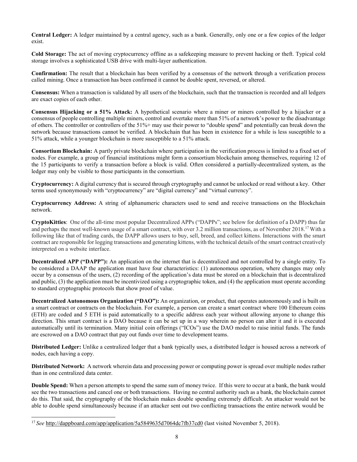**Central Ledger:** A ledger maintained by a central agency, such as a bank. Generally, only one or a few copies of the ledger exist.

**Cold Storage:** The act of moving cryptocurrency offline as a safekeeping measure to prevent hacking or theft. Typical cold storage involves a sophisticated USB drive with multi-layer authentication.

**Confirmation:** The result that a blockchain has been verified by a consensus of the network through a verification process called mining. Once a transaction has been confirmed it cannot be double spent, reversed, or altered.

**Consensus:** When a transaction is validated by all users of the blockchain, such that the transaction is recorded and all ledgers are exact copies of each other.

**Consensus Hijacking or a 51% Attack:** A hypothetical scenario where a miner or miners controlled by a hijacker or a consensus of people controlling multiple miners, control and overtake more than 51% of a network's power to the disadvantage of others. The controller or controllers of the 51%+ may use their power to "double spend" and potentially can break down the network because transactions cannot be verified. A blockchain that has been in existence for a while is less susceptible to a 51% attack, while a younger blockchain is more susceptible to a 51% attack.

**Consortium Blockchain:** A partly private blockchain where participation in the verification process is limited to a fixed set of nodes. For example, a group of financial institutions might form a consortium blockchain among themselves, requiring 12 of the 15 participants to verify a transaction before a block is valid. Often considered a partially-decentralized system, as the ledger may only be visible to those participants in the consortium.

**Cryptocurrency:** A digital currency that is secured through cryptography and cannot be unlocked or read without a key. Other terms used synonymously with "cryptocurrency" are "digital currency" and "virtual currency".

**Cryptocurrency Address:** A string of alphanumeric characters used to send and receive transactions on the Blockchain network.

**CryptoKitties**: One of the all-time most popular Decentralized APPs ("DAPPs"; see below for definition of a DAPP) thus far and perhaps the most well-known usage of a smart contract, with over 3.2 million transactions, as of November 201[8.17W](#page-11-0)ith a following like that of trading cards, the DAPP allows users to buy, sell, breed, and collect kittens. Interactions with the smart contract are responsible for logging transactions and generating kittens, with the technical details of the smart contract creatively interpreted on a website interface.

**Decentralized APP ("DAPP"):** An application on the internet that is decentralized and not controlled by a single entity. To be considered a DAAP the application must have four characteristics: (1) autonomous operation, where changes may only occur by a consensus of the users, (2) recording of the application's data must be stored on a blockchain that is decentralized and public, (3) the application must be incentivized using a cryptographic token, and (4) the application must operate according to standard cryptographic protocols that show proof of value.

**Decentralized Autonomous Organization ("DAO"):** An organization, or product, that operates autonomously and is built on a smart contract or contracts on the blockchain. For example, a person can create a smart contract where 100 Ethereum coins (ETH) are coded and 5 ETH is paid automatically to a specific address each year without allowing anyone to change this direction. This smart contract is a DAO because it can be set up in a way wherein no person can alter it and it is executed automatically until its termination. Many initial coin offerings ("ICOs") use the DAO model to raise initial funds. The funds are escrowed on a DAO contract that pay out funds over time to development teams.

**Distributed Ledger:** Unlike a centralized ledger that a bank typically uses, a distributed ledger is housed across a network of nodes, each having a copy.

**Distributed Network:** A network wherein data and processing power or computing power is spread over multiple nodes rather than in one centralized data center.

**Double Spend:** When a person attempts to spend the same sum of money twice. If this were to occur at a bank, the bank would see the two transactions and cancel one or both transactions. Having no central authority such as a bank, the blockchain cannot do this. That said, the cryptography of the blockchain makes double spending extremely difficult. An attacker would not be able to double spend simultaneously because if an attacker sent out two conflicting transactions the entire network would be

<span id="page-11-0"></span><sup>17</sup>*See* <http://dappboard.com/app/application/5a5849635d7064dc7fb37cd0> (last visited November 5, 2018).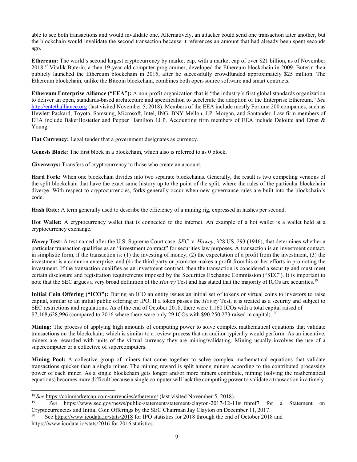able to see both transactions and would invalidate one. Alternatively, an attacker could send one transaction after another, but the blockchain would invalidate the second transaction because it references an amount that had already been spent seconds ago.

**Ethereum:** The world's second largest cryptocurrency by market cap, with a market cap of over \$21 billion, as of November 201[8.18](#page-12-0) Vitalik Buterin, a then 19-year old computer programmer, developed the Ethereum blockchain in 2009. Buterin then publicly launched the Ethereum blockchain in 2015, after he successfully crowdfunded approximately \$25 million. The Ethereum blockchain, unlike the Bitcoin blockchain, combines both open-source software and smart contracts.

**Ethereum Enterprise Alliance ("EEA"):** A non-profit organization that is "the industry's first global standards organization to deliver an open, standards-based architecture and specification to accelerate the adoption of the Enterprise Ethereum." *See*  [http://entethalliance.org](http://entethalliance.org/) (last visited November 5, 2018). Members of the EEA include mostly Fortune 200 companies, such as Hewlett Packard, Toyota, Samsung, Microsoft, Intel, ING, BNY Mellon, J.P. Morgan, and Santander. Law firm members of EEA include BakerHostetler and Pepper Hamilton LLP. Accounting firm members of EEA include Deloitte and Ernst & Young.

Fiat Currency: Legal tender that a government designates as currency.

**Genesis Block:** The first block in a blockchain, which also is referred to as 0 block.

**Giveaways:** Transfers of cryptocurrency to those who create an account.

**Hard Fork:** When one blockchain divides into two separate blockchains. Generally, the result is two competing versions of the split blockchain that have the exact same history up to the point of the split, where the rules of the particular blockchain diverge. With respect to cryptocurrencies, forks generally occur when new governance rules are built into the blockchain's code.

**Hash Rate:** A term generally used to describe the efficiency of a mining rig, expressed in hashes per second.

**Hot Wallet:** A cryptocurrency wallet that is connected to the internet. An example of a hot wallet is a wallet held at a cryptocurrency exchange.

*Howey* **Test:** A test named after the U.S. Supreme Court case, *SEC.* v. *Howey*, 328 US. 293 (1946), that determines whether a particular transaction qualifies as an "investment contract" for securities law purposes. A transaction is an investment contact, in simplistic form, if the transaction is: (1) the investing of money, (2) the expectation of a profit from the investment, (3) the investment is a common enterprise, and (4) the third party or promoter makes a profit from his or her efforts in promoting the investment. If the transaction qualifies as an investment contract, then the transaction is considered a security and must meet certain disclosure and registration requirements imposed by the Securities Exchange Commission ("SEC"). It is important to note that the SEC argues a very broad definition of the *Howey* Test and has stated that the majority of ICOs are securities[.19](#page-12-1)

**Initial Coin Offering ("ICO"):** During an ICO an entity issues an initial set of tokens or virtual coins to investors to raise capital, similar to an initial public offering or IPO. If a token passes the *Howey* Test, it is treated as a security and subject to SEC restrictions and regulations. As of the end of October 2018, there were 1,160 ICOs with a total capital raised of  $$7,168,628,996$  (compared to [20](#page-12-2)16 where there were only 29 ICOs with  $$90,250,273$  raised in capital). <sup>20</sup>

**Mining:** The process of applying high amounts of computing power to solve complex mathematical equations that validate transactions on the blockchain; which is similar to a review process that an auditor typically would perform. As an incentive, miners are rewarded with units of the virtual currency they are mining/validating. Mining usually involves the use of a supercomputer or a collective of supercomputers.

**Mining Pool:** A collective group of miners that come together to solve complex mathematical equations that validate transactions quicker than a single miner. The mining reward is split among miners according to the contributed processing power of each miner. As a single blockchain gets longer and/or more miners contribute, mining (solving the mathematical equations) becomes more difficult because a single computer will lack the computing power to validate a transaction in a timely

<span id="page-12-0"></span><sup>&</sup>lt;sup>18</sup> See <u><https://coinmarketcap.com/currencies/ethereum/></u> (last visited November 5, 2018).

<span id="page-12-1"></span><sup>19</sup> *See* [https://www.sec.gov/news/public-statement/statement-clayton-2017-12-11#\\_ftnref7](https://www.sec.gov/news/public-statement/statement-clayton-2017-12-11#_ftnref7) for a Statement on Cryptocurrencies and Initial Coin Offerings by the SEC Chairman Jay Clayton on December 11, 2017.

<span id="page-12-2"></span>Se[e https://www.icodata.io/stats/2018](https://www.icodata.io/stats/2018) for IPO statistics for 2018 through the end of October 2018 and <https://www.icodata.io/stats/2016> for 2016 statistics.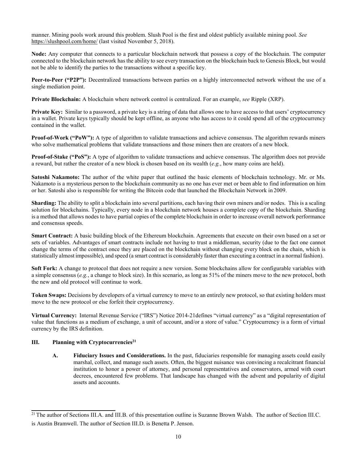manner. Mining pools work around this problem. Slush Pool is the first and oldest publicly available mining pool. *See* <https://slushpool.com/home/> (last visited November 5, 2018).

**Node:** Any computer that connects to a particular blockchain network that possess a copy of the blockchain. The computer connected to the blockchain network has the ability to see every transaction on the blockchain back to Genesis Block, but would not be able to identify the parties to the transactions without a specific key.

**Peer-to-Peer ("P2P"):** Decentralized transactions between parties on a highly interconnected network without the use of a single mediation point.

**Private Blockchain:** A blockchain where network control is centralized. For an example, *see* Ripple (XRP).

**Private Key:** Similar to a password, a private key is a string of data that allows one to have access to that users' cryptocurrency in a wallet. Private keys typically should be kept offline, as anyone who has access to it could spend all of the cryptocurrency contained in the wallet.

**Proof-of-Work ("PoW"):** A type of algorithm to validate transactions and achieve consensus. The algorithm rewards miners who solve mathematical problems that validate transactions and those miners then are creators of a new block.

**Proof-of-Stake ("PoS"):** A type of algorithm to validate transactions and achieve consensus. The algorithm does not provide a reward, but rather the creator of a new block is chosen based on its wealth (*e.g.*, how many coins are held).

**Satoshi Nakamoto:** The author of the white paper that outlined the basic elements of blockchain technology. Mr. or Ms. Nakamoto is a mysterious person to the blockchain community as no one has ever met or been able to find information on him or her. Satoshi also is responsible for writing the Bitcoin code that launched the Blockchain Network in 2009.

**Sharding:** The ability to split a blockchain into several partitions, each having their own miners and/or nodes. This is a scaling solution for blockchains. Typically, every node in a blockchain network houses a complete copy of the blockchain. Sharding is a method that allows nodes to have partial copies of the complete blockchain in order to increase overall network performance and consensus speeds.

**Smart Contract:** A basic building block of the Ethereum blockchain. Agreements that execute on their own based on a set or sets of variables. Advantages of smart contracts include not having to trust a middleman, security (due to the fact one cannot change the terms of the contract once they are placed on the blockchain without changing every block on the chain, which is statistically almost impossible), and speed (a smart contract is considerably faster than executing a contract in a normal fashion).

**Soft Fork:** A change to protocol that does not require a new version. Some blockchains allow for configurable variables with a simple consensus (*e.g.*, a change to block size). In this scenario, as long as 51% of the miners move to the new protocol, both the new and old protocol will continue to work.

**Token Swaps:** Decisions by developers of a virtual currency to move to an entirely new protocol, so that existing holders must move to the new protocol or else forfeit their cryptocurrency.

**Virtual Currency:** Internal Revenue Service ("IRS") Notice 2014-21defines "virtual currency" as a "digital representation of value that functions as a medium of exchange, a unit of account, and/or a store of value." Cryptocurrency is a form of virtual currency by the IRS definition.

## **III.** Planning with Cryptocurrencies<sup>21</sup>

**A. Fiduciary Issues and Considerations.** In the past, fiduciaries responsible for managing assets could easily marshal, collect, and manage such assets. Often, the biggest nuisance was convincing a recalcitrant financial institution to honor a power of attorney, and personal representatives and conservators, armed with court decrees, encountered few problems. That landscape has changed with the advent and popularity of digital assets and accounts.

<span id="page-13-0"></span> $21$  The author of Sections III.A. and III.B. of this presentation outline is Suzanne Brown Walsh. The author of Section III.C. is Austin Bramwell. The author of Section III.D. is Benetta P. Jenson.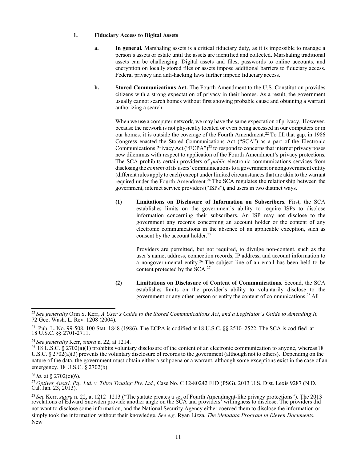### **1. Fiduciary Access to Digital Assets**

- **a. In general.** Marshaling assets is a critical fiduciary duty, as it is impossible to manage a person's assets or estate until the assets are identified and collected. Marshaling traditional assets can be challenging. Digital assets and files, passwords to online accounts, and encryption on locally stored files or assets impose additional barriers to fiduciary access. Federal privacy and anti-hacking laws further impede fiduciary access.
- **b. Stored Communications Act.** The Fourth Amendment to the U.S. Constitution provides citizens with a strong expectation of privacy in their homes. As a result, the government usually cannot search homes without first showing probable cause and obtaining a warrant authorizing a search.

When we use a computer network, we may have the same expectation of privacy. However, because the network is not physically located or even being accessed in our computers or in our homes, it is outside the coverage of the Fourth Amendment.<sup>22</sup> To fill that gap, in 1986 Congress enacted the Stored Communications Act ("SCA") as a part of the Electronic Communications Privacy Act ("ECPA")<sup>23</sup> to respond to concerns that internet privacy poses new dilemmas with respect to application of the Fourth Amendment's privacy protections. The SCA prohibits certain providers of *public* electronic communications services from disclosing the *content* ofits users' communicationsto a government or nongovernment entity (different rules apply to each) except under limited circumstances that are akin to the warrant required under the Fourth Amendment.<sup>24</sup> The SCA regulates the relationship between the government, internet service providers ("ISPs"), and users in two distinct ways.

**(1) Limitations on Disclosure of Information on Subscribers.** First, the SCA establishes limits on the government's ability to require ISPs to disclose information concerning their subscribers. An ISP may not disclose to the government any records concerning an account holder or the content of any electronic communications in the absence of an applicable exception, such as consent by the account holder.<sup>25</sup>

> Providers are permitted, but not required, to divulge non-content, such as the user's name, address, connection records, IP address, and account information to a nongovernmental entity[.26](#page-14-4) The subject line of an email has been held to be content protected by the SCA.<sup>27</sup>

**(2) Limitations on Disclosure of Content of Communications.** Second, the SCA establishes limits on the provider's ability to voluntarily disclose to the government or any other person or entity the content of communications[.28](#page-14-6) All

<span id="page-14-0"></span><sup>22</sup>*See generally* Orin S. Kerr, *A User's Guide to the Stored Communications Act*, *and a Legislator's Guide to Amending It,* 72 Geo. Wash. L. Rev. 1208 (2004).

<span id="page-14-1"></span><sup>&</sup>lt;sup>23</sup> Pub. L. No. 99-508, 100 Stat. 1848 (1986). The ECPA is codified at 18 U.S.C. §§ 2510–2522. The SCA is codified at 18 U.S.C. §§ 2701-2711.

<span id="page-14-3"></span>

<span id="page-14-2"></span><sup>&</sup>lt;sup>24</sup> See generally Kerr, *supra* n. 22, at 1214.<br><sup>25</sup> 18 U.S.C. § 2702(a)(1) prohibits voluntary disclosure of the content of an electronic communication to anyone, whereas18 U.S.C. § 2702(a)(3) prevents the voluntary disclosure of records to the government (although not to others). Depending on the nature of the data, the government must obtain either a subpoena or a warrant, although some exceptions exist in the case of an emergency. 18 U.S.C. § 2702(b).

<span id="page-14-5"></span><span id="page-14-4"></span><sup>26</sup>*Id.* at § 2702(c)(6).

<sup>&</sup>lt;sup>27</sup> Optiver Austrl. Pty. Ltd. v. Tibra Trading Pty. Ltd., Case No. C 12-80242 EJD (PSG), 2013 U.S. Dist. Lexis 9287 (N.D. Cal. Jan. 23, 2013).

<span id="page-14-6"></span><sup>&</sup>lt;sup>28</sup> See Kerr, supra n. 22, at 1212–1213 ("The statute creates a set of Fourth Amendment-like privacy protections"). The 2013 revelations of Edward Snowden provide another angle on the SCA and providers' willingness to dis not want to disclose some information, and the National Security Agency either coerced them to disclose the information or simply took the information without their knowledge. *See e.g.* Ryan Lizza, *The Metadata Program in Eleven Documents*, New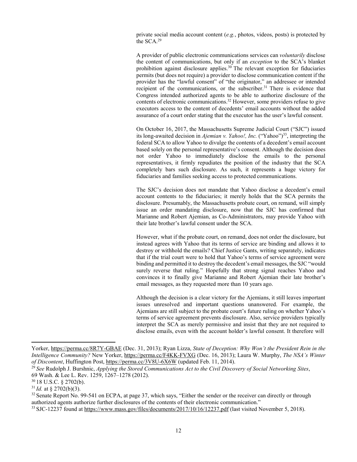private social media account content (*e.g.*, photos, videos, posts) is protected by the SC[A.29](#page-15-0)

A provider of public electronic communications services can *voluntarily* disclose the content of communications, but only if an *exception* to the SCA's blanket prohibition against disclosure applies. $30$  The relevant exception for fiduciaries permits (but does not require) a provider to disclose communication content if the provider has the "lawful consent" of "the originator," an addressee or intended recipient of the communications, or the subscriber.<sup>31</sup> There is evidence that Congress intended authorized agents to be able to authorize disclosure of the contents of electronic communications.<sup>32</sup> However, some providers refuse to give executors access to the content of decedents' email accounts without the added assurance of a court order stating that the executor has the user's lawful consent.

On October 16, 2017, the Massachusetts Supreme Judicial Court ("SJC") issued its long-awaited decision in *Ajemian v. Yahoo!, Inc.* ("Yahoo"[\)33,](#page-15-4) interpreting the federal SCA to allow Yahoo to divulge the contents of a decedent's email account based solely on the personal representative's consent. Although the decision does not order Yahoo to immediately disclose the emails to the personal representatives, it firmly repudiates the position of the industry that the SCA completely bars such disclosure. As such, it represents a huge victory for fiduciaries and families seeking access to protected communications.

The SJC's decision does not mandate that Yahoo disclose a decedent's email account contents to the fiduciaries; it merely holds that the SCA permits the disclosure. Presumably, the Massachusetts probate court, on remand, will simply issue an order mandating disclosure, now that the SJC has confirmed that Marianne and Robert Ajemian, as Co-Administrators, may provide Yahoo with their late brother's lawful consent under the SCA.

However, what if the probate court, on remand, does not order the disclosure, but instead agrees with Yahoo that its terms of service are binding and allows it to destroy or withhold the emails? Chief Justice Gants, writing separately, indicates that if the trial court were to hold that Yahoo's terms of service agreement were binding and permitted it to destroy the decedent's email messages, the SJC "would surely reverse that ruling." Hopefully that strong signal reaches Yahoo and convinces it to finally give Marianne and Robert Ajemian their late brother's email messages, as they requested more than 10 years ago.

Although the decision is a clear victory for the Ajemians, it still leaves important issues unresolved and important questions unanswered. For example, the Ajemians are still subject to the probate court's future ruling on whether Yahoo's terms of service agreement prevents disclosure. Also, service providers typically interpret the SCA as merely permissive and insist that they are not required to disclose emails, even with the account holder's lawful consent. It therefore will

Yorker,<https://perma.cc/8R7Y-GBAE> (Dec. 31, 2013); Ryan Lizza, *State of Deception: Why Won't the President Rein in the Intelligence Community?* New Yorker,<https://perma.cc/F4KK-FVXG> (Dec. 16, 2013); Laura W. Murphy, *The NSA's Winter of Discontent*, Huffington Post,<https://perma.cc/3V8U-6X6W> (updated Feb. 11, 2014).

<span id="page-15-0"></span><sup>29</sup>*See* Rudolph J. Burshnic, *Applying the Stored Communications Act to the Civil Discovery of Social Networking Sites*, 69 Wash. & Lee L. Rev. 1259, 1267–1278 (2012).

<span id="page-15-1"></span><sup>30 18</sup> U.S.C. § 2702(b).

<span id="page-15-2"></span><sup>31</sup>*Id.* at § 2702(b)(3).

<span id="page-15-3"></span> $32$  Senate Report No. 99-541 on ECPA, at page 37, which says, "Either the sender or the receiver can directly or through authorized agents authorize further disclosures of the contents of their electronic communication."

<span id="page-15-4"></span><sup>33</sup> SJC-12237 found a[t https://www.mass.gov/files/documents/2017/10/16/12237.pdf](https://www.mass.gov/files/documents/2017/10/16/12237.pdf) (last visited November 5, 2018).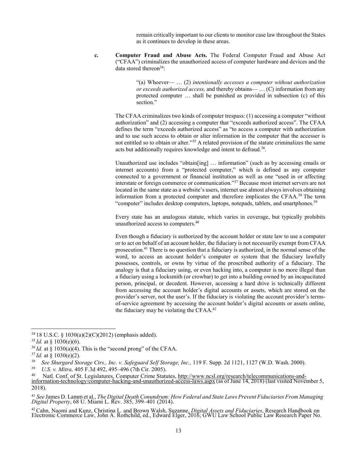remain critically important to our clients to monitor case law throughout the States as it continues to develop in these areas.

**c. Computer Fraud and Abuse Acts.** The Federal Computer Fraud and Abuse Act ("CFAA") criminalizes the unauthorized access of computer hardware and devices and the data stored thereon<sup>34</sup>:

> "(a) Whoever— … (2) *intentionally accesses a computer without authorization or exceeds authorized access,* and thereby obtains— … (C) information from any protected computer … shall be punished as provided in subsection (c) of this section."

The CFAA criminalizes two kinds of computer trespass: (1) accessing a computer "without authorization" and (2) accessing a computer that "exceeds authorized access". The CFAA defines the term "exceeds authorized access" as "to access a computer with authorization and to use such access to obtain or alter information in the computer that the accesser is not entitled so to obtain or alter.["35](#page-16-1) A related provision of the statute criminalizes the same acts but additionally requires knowledge and intent to defraud.<sup>36</sup>.

Unauthorized use includes "obtain[ing] … information" (such as by accessing emails or internet accounts) from a "protected computer," which is defined as any computer connected to a government or financial institution as well as one "used in or affecting interstate or foreign commerce or communication.["37](#page-16-3) Because most internet servers are not located in the same state as a website's users, internet use almost always involves obtaining information from a protected computer and therefore implicates the CFA[A.38](#page-16-4) The term "computer" includes desktop computers, laptops, notepads, tablets, and smartphones.<sup>39</sup>

Every state has an analogous statute, which varies in coverage, but typically prohibits unauthorized access to computers[.40](#page-16-6)

Even though a fiduciary is authorized by the account holder or state law to use a computer or to act on behalf of an account holder, the fiduciary is not necessarily exempt from CFAA prosecution[.41](#page-16-7) There is no question that a fiduciary is authorized, in the normal sense of the word, to access an account holder's computer or system that the fiduciary lawfully possesses, controls, or owns by virtue of the proscribed authority of a fiduciary. The analogy is that a fiduciary using, or even hacking into, a computer is no more illegal than a fiduciary using a locksmith (or crowbar) to get into a building owned by an incapacitated person, principal, or decedent. However, accessing a hard drive is technically different from accessing the account holder's digital accounts or assets, which are stored on the provider's server, not the user's. If the fiduciary is violating the account provider's termsof-service agreement by accessing the account holder's digital accounts or assets online, the fiduciary may be violating the CFAA.<sup>42</sup>

<span id="page-16-8"></span><sup>42</sup> Cahn, Naomi and Kunz, Christina L. and Brown Walsh, Suzanne, *Digital Assets and Fiduciaries*, Research Handbook on Electronic Commerce Law, John A. Rothchild, ed., Edward Elger, 2016; GWU Law School Public Law Resear

<span id="page-16-0"></span><sup>34 18</sup> U.S.C. § 1030(a)(2)(C)(2012) (emphasis added).

<span id="page-16-1"></span><sup>35</sup>*Id.* at § 1030(e)(6).

<span id="page-16-3"></span><span id="page-16-2"></span> $36$  *Id.* at  $\frac{6}{3}$  1030(a)(4). This is the "second prong" of the CFAA.

<span id="page-16-4"></span><sup>&</sup>lt;sup>37</sup>*Id.* at § 1030(e)(2).<br><sup>38</sup> See Shurgard Sto

<span id="page-16-5"></span><sup>38</sup> *See Shurgard Storage Ctrs., Inc. v. Safeguard Self Storage, Inc.,* 119 F. Supp. 2d 1121, 1127 (W.D. Wash. 2000).

<span id="page-16-6"></span><sup>39</sup> *U.S. v. Mitra,* 405 F.3d 492, 495–496 (7th Cir. 2005).

<sup>&</sup>lt;sup>40</sup> Natl. Conf. of St. Legislatures, Computer Crime Statutes, [http://www.ncsl.org/research/telecommunications-and-](http://www.ncsl.org/research/telecommunications-and-information-technology/computer-hacking-and-unauthorized-access-laws.aspx)<br>[information-technology/computer-hacking-and-unauthorized-access-laws.aspx](http://www.ncsl.org/research/telecommunications-and-information-technology/computer-hacking-and-unauthorized-access-laws.aspx) (as of June 14, 2018) (last visi 2018).

<span id="page-16-7"></span><sup>&</sup>lt;sup>41</sup> See James D. Lamm et al., *The Digital Death Conundrum: How Federal and State Laws Prevent Fiduciaries From Managing* Digital Property, 68 U. Miami L. Rev. 385, 399–401 (2014).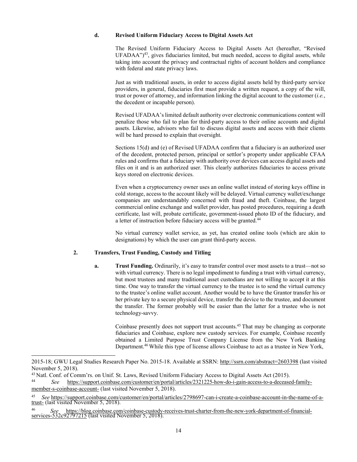#### **d. Revised Uniform Fiduciary Access to Digital Assets Act**

The Revised Uniform Fiduciary Access to Digital Assets Act (hereafter, "Revised  $UFADAA")<sup>43</sup>$ , gives fiduciaries limited, but much needed, access to digital assets, while taking into account the privacy and contractual rights of account holders and compliance with federal and state privacy laws.

Just as with traditional assets, in order to access digital assets held by third-party service providers, in general, fiduciaries first must provide a written request, a copy of the will, trust or power of attorney, and information linking the digital account to the customer (*i.e.*, the decedent or incapable person).

Revised UFADAA's limited default authority over electronic communications content will penalize those who fail to plan for third-party access to their online accounts and digital assets. Likewise, advisors who fail to discuss digital assets and access with their clients will be hard pressed to explain that oversight.

Sections 15(d) and (e) of Revised UFADAA confirm that a fiduciary is an authorized user of the decedent, protected person, principal or settlor's property under applicable CFAA rules and confirms that a fiduciary with authority over devices can access digital assets and files on it and is an authorized user. This clearly authorizes fiduciaries to access private keys stored on electronic devices.

Even when a cryptocurrency owner uses an online wallet instead of storing keys offline in cold storage, access to the account likely will be delayed. Virtual currency wallet/exchange companies are understandably concerned with fraud and theft. Coinbase, the largest commercial online exchange and wallet provider, has posted procedures, requiring a death certificate, last will, probate certificate, government-issued photo ID of the fiduciary, and a letter of instruction before fiduciary access will be granted.<sup>44</sup>

No virtual currency wallet service, as yet, has created online tools (which are akin to designations) by which the user can grant third-party access.

## **2. Transfers, Trust Funding, Custody and Titling**

**a. Trust Funding.** Ordinarily, it's easy to transfer control over most assets to a trust—not so with virtual currency. There is no legal impediment to funding a trust with virtual currency, but most trustees and many traditional asset custodians are not willing to accept it at this time. One way to transfer the virtual currency to the trustee is to send the virtual currency to the trustee's online wallet account. Another would be to have the Grantor transfer his or her private key to a secure physical device, transfer the device to the trustee, and document the transfer. The former probably will be easier than the latter for a trustee who is not technology-savvy.

Coinbase presently does not support trust accounts.<sup>45</sup> That may be changing as corporate fiduciaries and Coinbase, explore new custody services. For example, Coinbase recently obtained a Limited Purpose Trust Company License from the New York Banking Departmen[t.46](#page-17-3) While this type of license allows Coinbase to act as a trustee in New York,

<sup>2015-18;</sup> GWU Legal Studies Research Paper No. 2015-18. Available at SSRN: [http://ssrn.com/abstract=2603398](http://ssrn.com/abstract%3D2603398) (last visited November 5, 2018).

<span id="page-17-0"></span><sup>&</sup>lt;sup>43</sup> Natl. Conf. of Comm'rs. on Unif. St. Laws, Revised Uniform Fiduciary Access to Digital Assets Act (2015).

<span id="page-17-1"></span><sup>44</sup> *See* [https://support.coinbase.com/customer/en/portal/articles/2321225-how-do-i-gain-access-to-a-deceased-family](https://support.coinbase.com/customer/en/portal/articles/2321225-how-do-i-gain-access-to-a-deceased-family-member-s-coinbase-account-)[member-s-coinbase-account-](https://support.coinbase.com/customer/en/portal/articles/2321225-how-do-i-gain-access-to-a-deceased-family-member-s-coinbase-account-) (last visited November 5, 2018).

<span id="page-17-2"></span><sup>45</sup> *See* https://support.coinbase.com/customer/en/portal/articles/2798697-can-i-create-a-coinbase-account-in-the-name-of-a- [trust-](https://support.coinbase.com/customer/en/portal/articles/2798697-can-i-create-a-coinbase-account-in-the-name-of-a-trust-) (last visited November 5, 2018).

<span id="page-17-3"></span><sup>46</sup> *See* https://blog.coinbase.com/coinbase-custody-receives-trust-charter-from-the-new-york-department-of-financial- [services-532c92797215](https://blog.coinbase.com/coinbase-custody-receives-trust-charter-from-the-new-york-department-of-financial-services-532c92797215) (last visited November 5, 2018).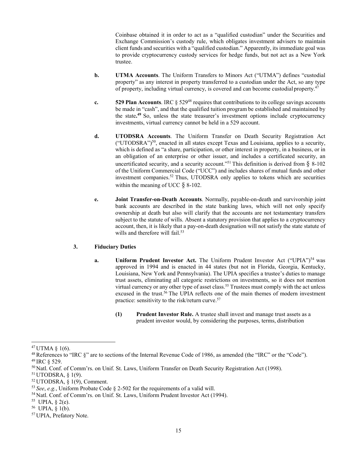Coinbase obtained it in order to act as a "qualified custodian" under the Securities and Exchange Commission's custody rule, which obligates investment advisers to maintain client funds and securities with a "qualified custodian." Apparently, itsimmediate goal was to provide cryptocurrency custody services for hedge funds, but not act as a New York trustee.

- **b. UTMA Accounts**. The Uniform Transfers to Minors Act ("UTMA") defines "custodial property" as any interest in property transferred to a custodian under the Act, so any type of property, including virtual currency, is covered and can become custodial property.<sup>4</sup>
- **c. 529 Plan Accounts**. IRC § 52[948](#page-18-1) requires that contributions to its college savings accounts be made in "cash", and that the qualified tuition program be established and maintained by the state**. [49](#page-18-2)** So, unless the state treasurer's investment options include cryptocurrency investments, virtual currency cannot be held in a 529 account.
- **d. UTODSRA Accounts**. The Uniform Transfer on Death Security Registration Act  $("UTODSRA")<sup>50</sup>$ , enacted in all states except Texas and Louisiana, applies to a security, which is defined as "a share, participation, or other interest in property, in a business, or in an obligation of an enterprise or other issuer, and includes a certificated security, an uncertificated security, and a security account."<sup>51</sup> This definition is derived from  $\S$  8-102 of the Uniform Commercial Code ("UCC") and includes shares of mutual funds and other investment companies.<sup>52</sup> Thus, UTODSRA only applies to tokens which are securities within the meaning of UCC  $\S$  8-102.
- **e. Joint Transfer-on-Death Accounts**. Normally, payable-on-death and survivorship joint bank accounts are described in the state banking laws, which will not only specify ownership at death but also will clarify that the accounts are not testamentary transfers subject to the statute of wills. Absent a statutory provision that applies to a cryptocurrency account, then, it is likely that a pay-on-death designation will not satisfy the state statute of wills and therefore will fail.<sup>53</sup>

## **3. Fiduciary Duties**

- **a. Uniform Prudent Investor Act.** The Uniform Prudent Investor Act ("UPIA")<sup>54</sup> was approved in 1994 and is enacted in 44 states (but not in Florida, Georgia, Kentucky, Louisiana, New York and Pennsylvania). The UPIA specifies a trustee's duties to manage trust assets, eliminating all categoric restrictions on investments, so it does not mention virtual currency or any other type of asset class.<sup>55</sup> Trustees must comply with the act unless excused in the trust.<sup>56</sup> The UPIA reflects one of the main themes of modern investment practice: sensitivity to the risk/return curve.<sup>57</sup>
	- **(1) Prudent Investor Rule.** A trustee shall invest and manage trust assets as a prudent investor would, by considering the purposes, terms, distribution

<span id="page-18-0"></span> $47$  UTMA  $\S$  1(6).

<span id="page-18-1"></span><sup>&</sup>lt;sup>48</sup> References to "IRC  $\S$ " are to sections of the Internal Revenue Code of 1986, as amended (the "IRC" or the "Code"). 49 IRC § 529.

<span id="page-18-2"></span>

<span id="page-18-3"></span><sup>50</sup> Natl. Conf. of Comm'rs. on Unif. St. Laws, Uniform Transfer on Death Security Registration Act (1998).

<span id="page-18-4"></span><sup>51</sup> UTODSRA, § 1(9).

<span id="page-18-5"></span><sup>52</sup> UTODSRA, § 1(9), Comment.

<span id="page-18-6"></span><sup>53</sup>*See*, *e.g.*, Uniform Probate Code § 2-502 for the requirements of a valid will.

<span id="page-18-8"></span><span id="page-18-7"></span><sup>54</sup> Natl. Conf. of Comm'rs. on Unif. St. Laws, Uniform Prudent Investor Act (1994).

<sup>55</sup> UPIA, § 2(e).

<span id="page-18-9"></span><sup>56</sup> UPIA, § 1(b).

<span id="page-18-10"></span><sup>57</sup> UPIA, Prefatory Note.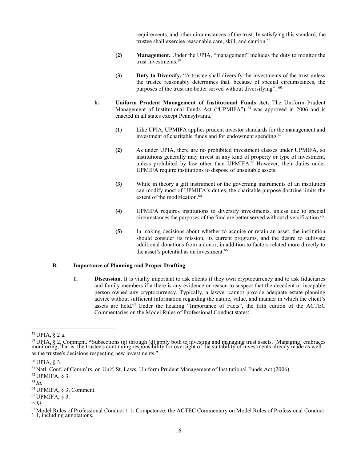requirements, and other circumstances of the trust. In satisfying this standard, the trustee shall exercise reasonable care, skill, and caution.<sup>58</sup>

- **(2) Management.** Under the UPIA, "management" includes the duty to monitor the trust investments.<sup>59</sup>
- **(3) Duty to Diversify.** "A trustee shall diversify the investments of the trust unless the trustee reasonably determines that, because of special circumstances, the purposes of the trust are better served without diversifying". [60](#page-19-2)
- **b. Uniform Prudent Management of Institutional Funds Act.** The Uniform Prudent Management of Institutional Funds Act ("UPMIFA") <sup>61</sup> was approved in 2006 and is enacted in all states except Pennsylvania.
	- **(1)** Like UPIA, UPMIFA applies prudent investor standards for the management and investment of charitable funds and for endowment spending.<sup>62</sup>
	- **(2)** As under UPIA, there are no prohibited investment classes under UPMIFA, so institutions generally may invest in any kind of property or type of investment, unless prohibited by law other than UPMIFA.<sup>63</sup> However, their duties under UPMIFA require institutions to dispose of unsuitable assets.
	- **(3)** While in theory a gift instrument or the governing instruments of an institution can modify most of UPMIFA's duties, the charitable purpose doctrine limits the extent of the modification.<sup>64</sup>
	- **(4)** UPMIFA requires institutions to diversify investments, unless due to special circumstances the purposes of the fund are better served without diversification.<sup>65</sup>
	- **(5)** In making decisions about whether to acquire or retain an asset, the institution should consider its mission, its current programs, and the desire to cultivate additional donations from a donor, in addition to factors related more directly to the asset's potential as an investment.<sup>66</sup>

#### **B. Importance of Planning and Proper Drafting**

**1. Discussion.** It is vitally important to ask clients if they own cryptocurrency and to ask fiduciaries and family members if a there is any evidence or reason to suspect that the decedent or incapable person owned any cryptocurrency. Typically, a lawyer cannot provide adequate estate planning advice without sufficient information regarding the nature, value, and manner in which the client's assets are held[.67](#page-19-9) Under the heading "Importance of Facts", the fifth edition of the ACTEC Commentaries on the Model Rules of Professional Conduct states:

<span id="page-19-0"></span><sup>58</sup> UPIA, § 2 a.

<span id="page-19-1"></span><sup>&</sup>lt;sup>59</sup> UPIA, § 2, Comment. "Subsections (a) through (d) apply both to investing and managing trust assets. 'Managing' embraces monitoring, that is, the trustee's continuing responsibility for oversight of the suitability of as the trustee's decisions respecting new investments."

<span id="page-19-3"></span><span id="page-19-2"></span> $60$  UPIA, § 3.

<span id="page-19-4"></span><sup>61</sup> Natl. Conf. of Comm'rs. on Unif. St. Laws, Uniform Prudent Management of Institutional Funds Act (2006).

<span id="page-19-5"></span> $62$  UPMIFA,  $§$  3.

<span id="page-19-6"></span><sup>63</sup>*Id.*

<span id="page-19-7"></span><sup>64</sup> UPMIFA, § 3, Comment.

<span id="page-19-8"></span><sup>65</sup> UPMIFA, § 3.

<span id="page-19-9"></span><sup>66</sup>*Id.*

<sup>67</sup> Model Rules of Professional Conduct 1.1: Competence; the ACTEC Commentary on Model Rules of Professional Conduct 1.1, including annotations.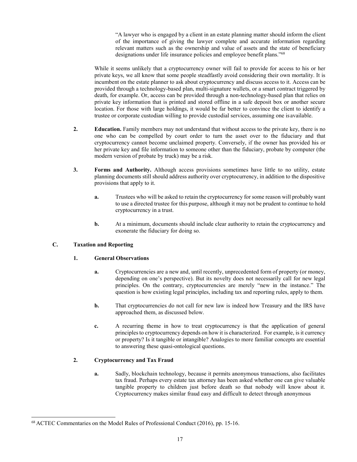"A lawyer who is engaged by a client in an estate planning matter should inform the client of the importance of giving the lawyer complete and accurate information regarding relevant matters such as the ownership and value of assets and the state of beneficiary designations under life insurance policies and employee benefit plans.["68](#page-20-0)

While it seems unlikely that a cryptocurrency owner will fail to provide for access to his or her private keys, we all know that some people steadfastly avoid considering their own mortality. It is incumbent on the estate planner to ask about cryptocurrency and discuss access to it. Access can be provided through a technology-based plan, multi-signature wallets, or a smart contract triggered by death, for example. Or, access can be provided through a non-technology-based plan that relies on private key information that is printed and stored offline in a safe deposit box or another secure location. For those with large holdings, it would be far better to convince the client to identify a trustee or corporate custodian willing to provide custodial services, assuming one is available.

- **2. Education.** Family members may not understand that without access to the private key, there is no one who can be compelled by court order to turn the asset over to the fiduciary and that cryptocurrency cannot become unclaimed property. Conversely, if the owner has provided his or her private key and file information to someone other than the fiduciary, probate by computer (the modern version of probate by truck) may be a risk.
- **3. Forms and Authority.** Although access provisions sometimes have little to no utility, estate planning documents still should address authority over cryptocurrency, in addition to the dispositive provisions that apply to it.
	- **a.** Trustees who will be asked to retain the cryptocurrency for some reason will probably want to use a directed trustee for this purpose, although it may not be prudent to continue to hold cryptocurrency in a trust.
	- **b.** At a minimum, documents should include clear authority to retain the cryptocurrency and exonerate the fiduciary for doing so.

## **C. Taxation and Reporting**

## **1. General Observations**

- **a.** Cryptocurrencies are a new and, until recently, unprecedented form of property (or money, depending on one's perspective). But its novelty does not necessarily call for new legal principles. On the contrary, cryptocurrencies are merely "new in the instance." The question is how existing legal principles, including tax and reporting rules, apply to them.
- **b.** That cryptocurrencies do not call for new law is indeed how Treasury and the IRS have approached them, as discussed below.
- **c.** A recurring theme in how to treat cryptocurrency is that the application of general principles to cryptocurrency depends on how it is characterized. For example, is it currency or property? Is it tangible or intangible? Analogies to more familiar concepts are essential to answering these quasi-ontological questions.

## **2. Cryptocurrency and Tax Fraud**

**a.** Sadly, blockchain technology, because it permits anonymous transactions, also facilitates tax fraud. Perhaps every estate tax attorney has been asked whether one can give valuable tangible property to children just before death so that nobody will know about it. Cryptocurrency makes similar fraud easy and difficult to detect through anonymous

<span id="page-20-0"></span><sup>68</sup> ACTEC Commentaries on the Model Rules of Professional Conduct (2016), pp. 15-16.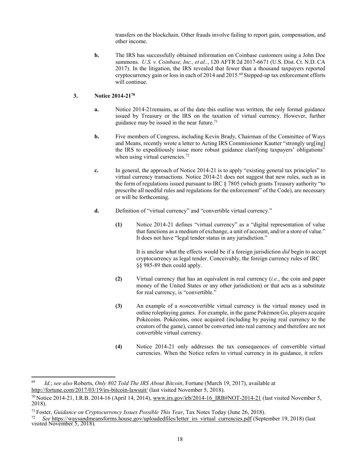transfers on the blockchain. Other frauds involve failing to report gain, compensation, and other income.

**b.** The IRS has successfully obtained information on Coinbase customers using a John Doe summons. *U.S. v. Coinbase, Inc., et al..*, 120 AFTR 2d 2017-6671 (U.S. Dist. Ct. N.D. CA 2017). In the litigation, the IRS revealed that fewer than a thousand taxpayers reported cryptocurrency gain or loss in each of 2014 and 2015.<sup>69</sup> Stepped-up tax enforcement efforts will continue.

## **3. Notice 2014-2[170](#page-21-1)**

- **a.** Notice 2014-21remains, as of the date this outline was written, the only formal guidance issued by Treasury or the IRS on the taxation of virtual currency. However, further guidance may be issued in the near future.<sup>71</sup>
- **b.** Five members of Congress, including Kevin Brady, Chairman of the Committee of Ways and Means, recently wrote a letter to Acting IRS Commissioner Kautter "strongly urg[ing] the IRS to expeditiously issue more robust guidance clarifying taxpayers' obligations" when using virtual currencies.<sup>[72](#page-21-3)</sup>
- **c.** In general, the approach of Notice 2014-21 is to apply "existing general tax principles" to virtual currency transactions. Notice 2014-21 does not suggest that new rules, such as in the form of regulations issued pursuant to IRC § 7805 (which grants Treasury authority "to prescribe all needful rules and regulations for the enforcement" of the Code), are necessary or will be forthcoming.
- **d.** Definition of "virtual currency" and "convertible virtual currency."
	- **(1)** Notice 2014-21 defines "virtual currency" as a "digital representation of value that functions as a medium of exchange, a unit of account, and/or a store of value." It does not have "legal tender status in any jurisdiction."

It is unclear what the effects would be if a foreign jurisdiction *did* begin to accept cryptocurrency as legal tender. Conceivably, the foreign currency rules of IRC §§ 985-89 then could apply.

- **(2)** Virtual currency that has an equivalent in real currency (*i.e.*, the coin and paper money of the United States or any other jurisdiction) or that acts as a substitute for real currency, is "convertible."
- **(3)** An example of a *non*convertible virtual currency is the virtual money used in online roleplaying games. For example, in the game Pokémon Go, players acquire Pokécoins. Pokécoins, once acquired (including by paying real currency to the creators of the game), cannot be converted into real currency and therefore are not convertible virtual currency.
- **(4)** Notice 2014-21 only addresses the tax consequences of convertible virtual currencies. When the Notice refers to virtual currency in its guidance, it refers

<span id="page-21-0"></span><sup>69</sup> *Id.*; *see also* Roberts, *Only 802 Told The IRS About Bitcoin*, Fortune (March 19, 2017), available at <http://fortune.com/2017/03/19/irs-bitcoin-lawsuit/> (last visited November 5, 2018).

<span id="page-21-1"></span> $^{70}$  Notice 2014-21, I.R.B. 2014-16 (April 14, 2014), www.irs.gov/irb/2014-16 IRB#NOT-2014-21 (last visited November 5, 2018).

<span id="page-21-3"></span><span id="page-21-2"></span><sup>71</sup> Foster, *Guidance on Cryptocurrency Issues Possible This Year*, Tax Notes Today (June 26, 2018).

<sup>&</sup>lt;sup>72</sup> *See* https://waysandmeansforms.house.gov/uploadedfiles/letter\_irs\_virtual\_currencies.pdf (September 19, 2018) (last visited [November 5,](https://waysandmeansforms.house.gov/uploadedfiles/letter_irs_virtual_currencies.pdf) 2018).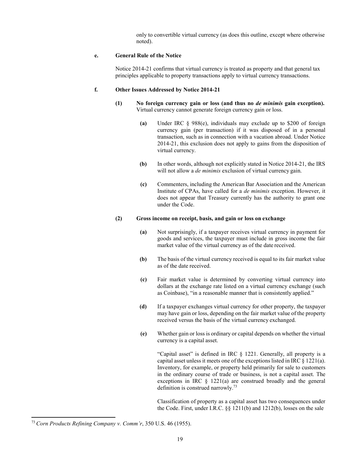only to convertible virtual currency (as does this outline, except where otherwise noted).

#### **e. General Rule of the Notice**

Notice 2014-21 confirms that virtual currency is treated as property and that general tax principles applicable to property transactions apply to virtual currency transactions.

### **f. Other Issues Addressed by Notice 2014-21**

- **(1) No foreign currency gain or loss (and thus no** *de minimis* **gain exception).** Virtual currency cannot generate foreign currency gain or loss.
	- **(a)** Under IRC § 988(e), individuals may exclude up to \$200 of foreign currency gain (per transaction) if it was disposed of in a personal transaction, such as in connection with a vacation abroad. Under Notice 2014-21, this exclusion does not apply to gains from the disposition of virtual currency.
	- **(b)** In other words, although not explicitly stated in Notice 2014-21, the IRS will not allow a *de minimis* exclusion of virtual currency gain.
	- **(c)** Commenters, including the American Bar Association and the American Institute of CPAs, have called for a *de minimis* exception. However, it does not appear that Treasury currently has the authority to grant one under the Code.

### **(2) Gross income on receipt, basis, and gain or loss on exchange**

- **(a)** Not surprisingly, if a taxpayer receives virtual currency in payment for goods and services, the taxpayer must include in gross income the fair market value of the virtual currency as of the date received.
- **(b)** The basis of the virtual currency received is equal to its fair market value as of the date received.
- **(c)** Fair market value is determined by converting virtual currency into dollars at the exchange rate listed on a virtual currency exchange (such as Coinbase), "in a reasonable manner that is consistently applied."
- **(d)** If a taxpayer exchanges virtual currency for other property, the taxpayer may have gain or loss, depending on the fair market value of the property received versus the basis of the virtual currency exchanged.
- **(e)** Whether gain or loss is ordinary or capital depends on whether the virtual currency is a capital asset.

"Capital asset" is defined in IRC § 1221. Generally, all property is a capital asset unless it meets one of the exceptions listed in IRC § 1221(a). Inventory, for example, or property held primarily for sale to customers in the ordinary course of trade or business, is not a capital asset. The exceptions in IRC § 1221(a) are construed broadly and the general definition is construed narrowl[y.73](#page-22-0)

Classification of property as a capital asset has two consequences under the Code. First, under I.R.C. §§ 1211(b) and 1212(b), losses on the sale

<span id="page-22-0"></span><sup>73</sup> *Corn Products Refining Company v. Comm'r*, 350 U.S. 46 (1955).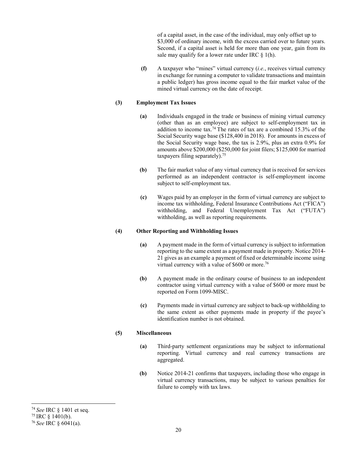of a capital asset, in the case of the individual, may only offset up to \$3,000 of ordinary income, with the excess carried over to future years. Second, if a capital asset is held for more than one year, gain from its sale may qualify for a lower rate under IRC  $\S$  1(h).

**(f)** A taxpayer who "mines" virtual currency (*i.e.*, receives virtual currency in exchange for running a computer to validate transactions and maintain a public ledger) has gross income equal to the fair market value of the mined virtual currency on the date of receipt.

## **(3) Employment Tax Issues**

- **(a)** Individuals engaged in the trade or business of mining virtual currency (other than as an employee) are subject to self-employment tax in addition to income tax.<sup>74</sup> The rates of tax are a combined 15.3% of the Social Security wage base (\$128,400 in 2018). For amounts in excess of the Social Security wage base, the tax is 2.9%, plus an extra 0.9% for amounts above \$200,000 (\$250,000 for joint filers; \$125,000 for married taxpayers filing separately)[.75](#page-23-1)
- **(b)** The fair market value of any virtual currency that is received for services performed as an independent contractor is self-employment income subject to self-employment tax.
- **(c)** Wages paid by an employer in the form of virtual currency are subject to income tax withholding, Federal Insurance Contributions Act ("FICA") withholding, and Federal Unemployment Tax Act ("FUTA") withholding, as well as reporting requirements.

#### **(4) Other Reporting and Withholding Issues**

- **(a)** A payment made in the form of virtual currency is subject to information reporting to the same extent as a payment made in property. Notice 2014- 21 gives as an example a payment of fixed or determinable income using virtual currency with a value of  $$600$  or more.<sup>76</sup>
- **(b)** A payment made in the ordinary course of business to an independent contractor using virtual currency with a value of \$600 or more must be reported on Form 1099-MISC.
- **(c)** Payments made in virtual currency are subject to back-up withholding to the same extent as other payments made in property if the payee's identification number is not obtained.

## **(5) Miscellaneous**

- **(a)** Third-party settlement organizations may be subject to informational reporting. Virtual currency and real currency transactions are aggregated.
- **(b)** Notice 2014-21 confirms that taxpayers, including those who engage in virtual currency transactions, may be subject to various penalties for failure to comply with tax laws.

<span id="page-23-0"></span><sup>74</sup>*See* IRC § 1401 et seq.

<span id="page-23-1"></span><sup>75</sup> IRC § 1401(b).

<span id="page-23-2"></span><sup>76</sup>*See* IRC § 6041(a).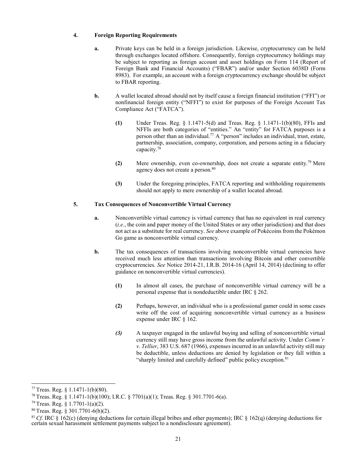## **4. Foreign Reporting Requirements**

- **a.** Private keys can be held in a foreign jurisdiction. Likewise, cryptocurrency can be held through exchanges located offshore. Consequently, foreign cryptocurrency holdings may be subject to reporting as foreign account and asset holdings on Form 114 (Report of Foreign Bank and Financial Accounts) ("FBAR") and/or under Section 6038D (Form 8983). For example, an account with a foreign cryptocurrency exchange should be subject to FBAR reporting.
- **b.** A wallet located abroad should not by itself cause a foreign financial institution ("FFI") or nonfinancial foreign entity ("NFFI") to exist for purposes of the Foreign Account Tax Compliance Act ("FATCA").
	- **(1)** Under Treas. Reg. § 1.1471-5(d) and Treas. Reg. § 1.1471-1(b)(80), FFIs and NFFIs are both categories of "entities." An "entity" for FATCA purposes is a person other than an individual[.77](#page-24-0) A "person" includes an individual, trust, estate, partnership, association, company, corporation, and persons acting in a fiduciary capacity[.78](#page-24-1)
	- **(2)** Mere ownership, even co-ownership, does not create a separate entity[.79](#page-24-2) Mere agency does not create a person.<sup>80</sup>
	- **(3)** Under the foregoing principles, FATCA reporting and withholding requirements should not apply to mere ownership of a wallet located abroad.

## **5. Tax Consequences of Nonconvertible Virtual Currency**

- **a.** Nonconvertible virtual currency is virtual currency that has no equivalent in real currency (*i.e.*, the coin and paper money of the United States or any other jurisdiction) and that does not act as a substitute for real currency. *See* above example of Pokécoins from the Pokémon Go game as nonconvertible virtual currency.
- **b.** The tax consequences of transactions involving nonconvertible virtual currencies have received much less attention than transactions involving Bitcoin and other convertible cryptocurrencies. *See* Notice 2014-21, I.R.B. 2014-16 (April 14, 2014) (declining to offer guidance on nonconvertible virtual currencies).
	- **(1)** In almost all cases, the purchase of nonconvertible virtual currency will be a personal expense that is nondeductible under IRC § 262.
	- **(2)** Perhaps, however, an individual who is a professional gamer could in some cases write off the cost of acquiring nonconvertible virtual currency as a business expense under IRC § 162.
	- *(3)* A taxpayer engaged in the unlawful buying and selling of nonconvertible virtual currency still may have gross income from the unlawful activity. Under *Comm'r v. Tellier*, 383 U.S. 687 (1966), expenses incurred in an unlawful activity still may be deductible, unless deductions are denied by legislation or they fall within a "sharply limited and carefully defined" public policy exception.<sup>81</sup>

<span id="page-24-0"></span><sup>77</sup> Treas. Reg. § 1.1471-1(b)(80).

<span id="page-24-1"></span><sup>78</sup> Treas. Reg. § 1.1471-1(b)(100); I.R.C. § 7701(a)(1); Treas. Reg. § 301.7701-6(a).

<span id="page-24-3"></span><span id="page-24-2"></span><sup>79</sup> Treas. Reg. § 1.7701-1(a)(2).

<span id="page-24-4"></span><sup>80</sup> Treas. Reg. § 301.7701-6(b)(2).

<sup>81</sup> *Cf*. IRC § 162(c) (denying deductions for certain illegal bribes and other payments); IRC § 162(q) (denying deductions for certain sexual harassment settlement payments subject to a nondisclosure agreement).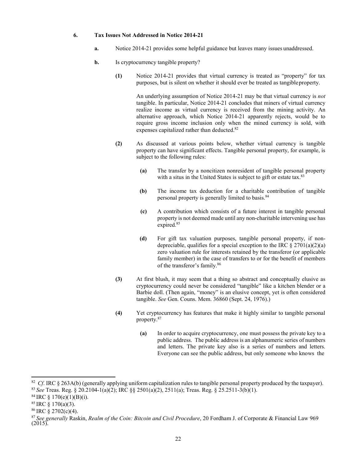#### **6. Tax Issues Not Addressed in Notice 2014-21**

- **a.** Notice 2014-21 provides some helpful guidance but leaves many issues unaddressed.
- **b.** Is cryptocurrency tangible property?
	- **(1)** Notice 2014-21 provides that virtual currency is treated as "property" for tax purposes, but is silent on whether it should ever be treated as tangibleproperty.

An underlying assumption of Notice 2014-21 may be that virtual currency is *not*  tangible. In particular, Notice 2014-21 concludes that miners of virtual currency realize income as virtual currency is received from the mining activity. An alternative approach, which Notice 2014-21 apparently rejects, would be to require gross income inclusion only when the mined currency is sold, with expenses capitalized rather than deducted.<sup>82</sup>

- **(2)** As discussed at various points below, whether virtual currency is tangible property can have significant effects. Tangible personal property, for example, is subject to the following rules:
	- **(a)** The transfer by a noncitizen nonresident of tangible personal property with a situs in the United States is subject to gift or estate tax.<sup>83</sup>
	- **(b)** The income tax deduction for a charitable contribution of tangible personal property is generally limited to basis.<sup>84</sup>
	- **(c)** A contribution which consists of a future interest in tangible personal property is not deemed made until any non-charitable intervening use has expired.<sup>85</sup>
	- **(d)** For gift tax valuation purposes, tangible personal property, if nondepreciable, qualifies for a special exception to the IRC  $\S 2701(a)(2)(a)$ zero valuation rule for interests retained by the transferor (or applicable family member) in the case of transfers to or for the benefit of members of the transferor's famil[y.86](#page-25-4)
- **(3)** At first blush, it may seem that a thing so abstract and conceptually elusive as cryptocurrency could never be considered "tangible" like a kitchen blender or a Barbie doll. (Then again, "money" is an elusive concept, yet is often considered tangible. *See* Gen. Couns. Mem. 36860 (Sept. 24, 1976).)
- **(4)** Yet cryptocurrency has features that make it highly similar to tangible personal property.<sup>87</sup>
	- **(a)** In order to acquire cryptocurrency, one must possess the private key to a public address. The public address is an alphanumeric series of numbers and letters. The private key also is a series of numbers and letters. Everyone can see the public address, but only someone who knows the

<span id="page-25-0"></span><sup>&</sup>lt;sup>82</sup> Cf. IRC § 263A(b) (generally applying uniform capitalization rules to tangible personal property produced by the taxpayer).

<span id="page-25-1"></span><sup>83</sup>*See* Treas. Reg. § 20.2104-1(a)(2); IRC §§ 2501(a)(2), 2511(a); Treas. Reg. § 25.2511-3(b)(1).

<span id="page-25-3"></span><span id="page-25-2"></span> $^{84}$  IRC § 170(e)(1)(B)(i).

<span id="page-25-4"></span> $85$  IRC § 170(a)(3).

<span id="page-25-5"></span> $86$  IRC  $\frac{2702(c)(4)}{c}$ .

<sup>87</sup> *See generally* Raskin, *Realm of the Coin: Bitcoin and Civil Procedure*, 20 Fordham J. of Corporate & Financial Law 969 (2015).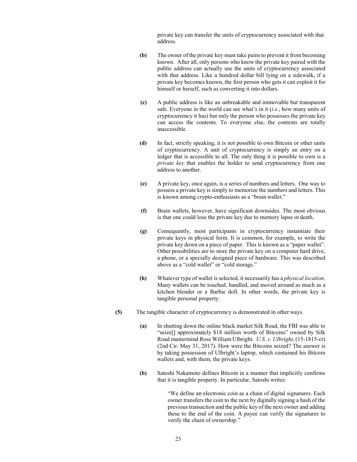private key can transfer the units of cryptocurrency associated with that address.

- **(b)** The owner of the private key must take pains to prevent it from becoming known. After all, only persons who know the private key paired with the public address can actually use the units of cryptocurrency associated with that address. Like a hundred dollar bill lying on a sidewalk, if a private key becomes known, the first person who gets it can exploit it for himself or herself, such as converting it into dollars.
- **(c)** A public address is like an unbreakable and immovable but transparent safe. Everyone in the world can see what's in it (*i.e.*, how many units of cryptocurrency it has) but only the person who possesses the private key can access the contents. To everyone else, the contents are totally inaccessible.
- **(d)** In fact, strictly speaking, it is not possible to own Bitcoin or other units of cryptocurrency. A unit of cryptocurrency is simply an entry on a ledger that is accessible to all. The only thing it is possible to own is a *private key* that enables the holder to send cryptocurrency from one address to another.
- **(e)** A private key, once again, is a series of numbers and letters. One way to possess a private key is simply to memorize the numbers and letters. This is known among crypto-enthusiasts as a "brain wallet."
- **(f)** Brain wallets, however, have significant downsides. The most obvious is that one could lose the private key due to memory lapse or death.
- **(g)** Consequently, most participants in cryptocurrency instantiate their private keys in physical form. It is common, for example, to write the private key down on a piece of paper. This is known as a "paper wallet". Other possibilities are to store the private key on a computer hard drive, a phone, or a specially designed piece of hardware. This was described above as a "cold wallet" or "cold storage."
- **(h)** Whatever type of wallet is selected, it necessarily has a *physical location*. Many wallets can be touched, handled, and moved around as much as a kitchen blender or a Barbie doll. In other words, the private key is tangible personal property.
- **(5)** The tangible character of cryptocurrency is demonstrated in other ways.
	- **(a)** In shutting down the online black market Silk Road, the FBI was able to "seize[] approximately \$18 million worth of Bitcoins" owned by Silk Road mastermind Ross William Ulbright. *U.S. v. Ulbright*, (15-1815-cr) (2nd Cir. May 31, 2017). How were the Bitcoins seized? The answer is by taking possession of Ulbright's laptop, which contained his Bitcoin wallets and, with them, the private keys.
	- **(b)** Satoshi Nakamoto defines Bitcoin in a manner that implicitly confirms that it is tangible property. In particular, Satoshi writes:

"We define an electronic coin as a chain of digital signatures. Each owner transfers the coin to the next by digitally signing a hash of the previous transaction and the public key of the next owner and adding these to the end of the coin. A payee can verify the signatures to verify the chain of ownership."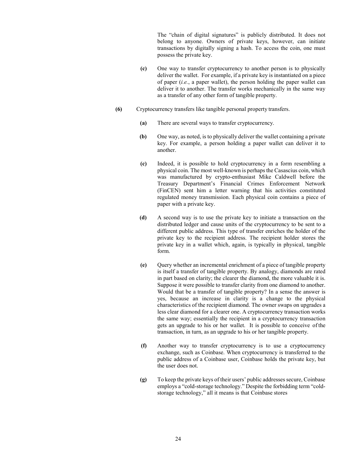The "chain of digital signatures" is publicly distributed. It does not belong to anyone. Owners of private keys, however, can initiate transactions by digitally signing a hash. To access the coin, one must possess the private key.

- **(c)** One way to transfer cryptocurrency to another person is to physically deliver the wallet. For example, if a private key is instantiated on a piece of paper (*i.e.*, a paper wallet), the person holding the paper wallet can deliver it to another. The transfer works mechanically in the same way as a transfer of any other form of tangible property.
- **(6)** Cryptocurrency transfers like tangible personal property transfers.
	- **(a)** There are several ways to transfer cryptocurrency.
	- **(b)** One way, as noted, is to physically deliver the wallet containing a private key. For example, a person holding a paper wallet can deliver it to another.
	- **(c)** Indeed, it is possible to hold cryptocurrency in a form resembling a physical coin. The most well-known is perhaps the Casascius coin, which was manufactured by crypto-enthusiast Mike Caldwell before the Treasury Department's Financial Crimes Enforcement Network (FinCEN) sent him a letter warning that his activities constituted regulated money transmission. Each physical coin contains a piece of paper with a private key.
	- **(d)** A second way is to use the private key to initiate a transaction on the distributed ledger and cause units of the cryptocurrency to be sent to a different public address. This type of transfer enriches the holder of the private key to the recipient address. The recipient holder stores the private key in a wallet which, again, is typically in physical, tangible form.
	- **(e)** Query whether an incremental enrichment of a piece of tangible property is itself a transfer of tangible property. By analogy, diamonds are rated in part based on clarity; the clearer the diamond, the more valuable it is. Suppose it were possible to transfer clarity from one diamond to another. Would that be a transfer of tangible property? In a sense the answer is yes, because an increase in clarity is a change to the physical characteristics of the recipient diamond. The owner swaps on upgrades a less clear diamond for a clearer one. A cryptocurrency transaction works the same way; essentially the recipient in a cryptocurrency transaction gets an upgrade to his or her wallet. It is possible to conceive ofthe transaction, in turn, as an upgrade to his or her tangible property.
	- **(f)** Another way to transfer cryptocurrency is to use a cryptocurrency exchange, such as Coinbase. When cryptocurrency is transferred to the public address of a Coinbase user, Coinbase holds the private key, but the user does not.
	- **(g)** To keep the private keys of their users' public addresses secure, Coinbase employs a "cold-storage technology." Despite the forbidding term "coldstorage technology," all it means is that Coinbase stores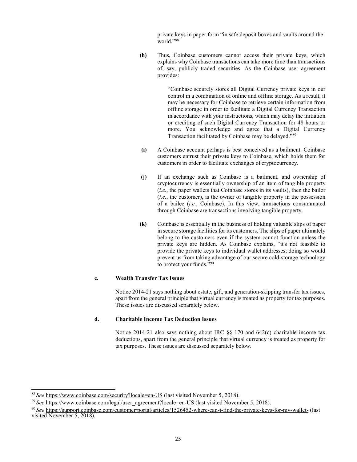private keys in paper form "in safe deposit boxes and vaults around the world.["88](#page-28-0)

**(h)** Thus, Coinbase customers cannot access their private keys, which explains why Coinbase transactions can take more time than transactions of, say, publicly traded securities. As the Coinbase user agreement provides:

> "Coinbase securely stores all Digital Currency private keys in our control in a combination of online and offline storage. As a result, it may be necessary for Coinbase to retrieve certain information from offline storage in order to facilitate a Digital Currency Transaction in accordance with your instructions, which may delay the initiation or crediting of such Digital Currency Transaction for 48 hours or more. You acknowledge and agree that a Digital Currency Transaction facilitated by Coinbase may be delayed.["89](#page-28-1)

- **(i)** A Coinbase account perhaps is best conceived as a bailment. Coinbase customers entrust their private keys to Coinbase, which holds them for customers in order to facilitate exchanges of cryptocurrency.
- **(j)** If an exchange such as Coinbase is a bailment, and ownership of cryptocurrency is essentially ownership of an item of tangible property (*i.e.*, the paper wallets that Coinbase stores in its vaults), then the bailor (*i.e.*, the customer), is the owner of tangible property in the possession of a bailee (*i.e.*, Coinbase). In this view, transactions consummated through Coinbase are transactions involving tangible property.
- **(k)** Coinbase is essentially in the business of holding valuable slips of paper in secure storage facilities for its customers. The slips of paper ultimately belong to the customers even if the system cannot function unless the private keys are hidden. As Coinbase explains, "it's not feasible to provide the private keys to individual wallet addresses; doing so would prevent us from taking advantage of our secure cold-storage technology to protect your funds.["90](#page-28-2)

#### **c. Wealth Transfer Tax Issues**

Notice 2014-21 says nothing about estate, gift, and generation-skipping transfer tax issues, apart from the general principle that virtual currency is treated as property for tax purposes. These issues are discussed separately below.

#### **d. Charitable Income Tax Deduction Issues**

Notice 2014-21 also says nothing about IRC  $\S$ § 170 and 642(c) charitable income tax deductions, apart from the general principle that virtual currency is treated as property for tax purposes. These issues are discussed separately below.

<span id="page-28-0"></span><sup>88</sup>*See* <https://www.coinbase.com/security?locale=en-US> (last visited November 5, 2018).

<span id="page-28-2"></span><span id="page-28-1"></span><sup>&</sup>lt;sup>89</sup> See [https://www.coinbase.com/legal/user\\_agreement?locale=en-US](https://www.coinbase.com/legal/user_agreement?locale=en-US) (last visited November 5, 2018).

<sup>90</sup>*See* <https://support.coinbase.com/customer/portal/articles/1526452-where-can-i-find-the-private-keys-for-my-wallet-> (last visited November 5, 2018).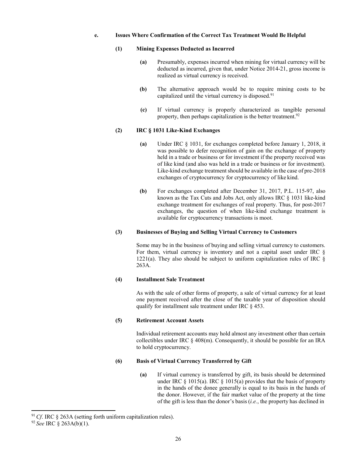#### **e. Issues Where Confirmation of the Correct Tax Treatment Would Be Helpful**

#### **(1) Mining Expenses Deducted as Incurred**

- **(a)** Presumably, expenses incurred when mining for virtual currency will be deducted as incurred, given that, under Notice 2014-21, gross income is realized as virtual currency is received.
- **(b)** The alternative approach would be to require mining costs to be capitalized until the virtual currency is disposed.<sup>91</sup>
- **(c)** If virtual currency is properly characterized as tangible personal property, then perhaps capitalization is the better treatment.<sup>92</sup>

#### **(2) IRC § 1031 Like-Kind Exchanges**

- **(a)** Under IRC § 1031, for exchanges completed before January 1, 2018, it was possible to defer recognition of gain on the exchange of property held in a trade or business or for investment if the property received was of like kind (and also was held in a trade or business or for investment). Like-kind exchange treatment should be available in the case of pre-2018 exchanges of cryptocurrency for cryptocurrency of like kind.
- **(b)** For exchanges completed after December 31, 2017, P.L. 115-97, also known as the Tax Cuts and Jobs Act, only allows IRC § 1031 like-kind exchange treatment for exchanges of real property. Thus, for post-2017 exchanges, the question of when like-kind exchange treatment is available for cryptocurrency transactions is moot.

#### **(3) Businesses of Buying and Selling Virtual Currency to Customers**

Some may be in the business of buying and selling virtual currency to customers. For them, virtual currency is inventory and not a capital asset under IRC §  $1221(a)$ . They also should be subject to uniform capitalization rules of IRC  $\&$ 263A.

## **(4) Installment Sale Treatment**

As with the sale of other forms of property, a sale of virtual currency for at least one payment received after the close of the taxable year of disposition should qualify for installment sale treatment under IRC § 453.

#### **(5) Retirement Account Assets**

Individual retirement accounts may hold almost any investment other than certain collectibles under IRC § 408(m). Consequently, it should be possible for an IRA to hold cryptocurrency.

#### **(6) Basis of Virtual Currency Transferred by Gift**

**(a)** If virtual currency is transferred by gift, its basis should be determined under IRC  $\S$  1015(a). IRC  $\S$  1015(a) provides that the basis of property in the hands of the donee generally is equal to its basis in the hands of the donor. However, if the fair market value of the property at the time of the gift is less than the donor's basis (*i.e.*, the property has declined in

<span id="page-29-0"></span><sup>&</sup>lt;sup>91</sup> Cf. IRC § 263A (setting forth uniform capitalization rules).

<span id="page-29-1"></span><sup>92</sup> *See* IRC § 263A(b)(1).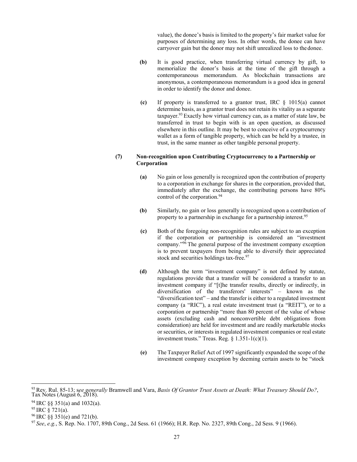value), the donee's basis is limited to the property's fair market value for purposes of determining any loss. In other words, the donee can have carryover gain but the donor may not shift unrealized loss to thedonee.

- **(b)** It is good practice, when transferring virtual currency by gift, to memorialize the donor's basis at the time of the gift through a contemporaneous memorandum. As blockchain transactions are anonymous, a contemporaneous memorandum is a good idea in general in order to identify the donor and donee.
- **(c)** If property is transferred to a grantor trust, IRC § 1015(a) cannot determine basis, as a grantor trust does not retain its vitality as a separate taxpayer.<sup>93</sup> Exactly how virtual currency can, as a matter of state law, be transferred in trust to begin with is an open question, as discussed elsewhere in this outline. It may be best to conceive of a cryptocurrency wallet as a form of tangible property, which can be held by a trustee, in trust, in the same manner as other tangible personal property.

## **(7) Non-recognition upon Contributing Cryptocurrency to a Partnership or Corporation**

- **(a)** No gain or loss generally is recognized upon the contribution of property to a corporation in exchange for shares in the corporation, provided that, immediately after the exchange, the contributing persons have 80% control of the corporation.<sup>94</sup>
- **(b)** Similarly, no gain or loss generally is recognized upon a contribution of property to a partnership in exchange for a partnership interes[t.95](#page-30-2)
- **(c)** Both of the foregoing non-recognition rules are subject to an exception if the corporation or partnership is considered an "investment company. $\frac{1}{96}$  The general purpose of the investment company exception is to prevent taxpayers from being able to diversify their appreciated stock and securities holdings tax-free.<sup>97</sup>
- **(d)** Although the term "investment company" is not defined by statute, regulations provide that a transfer will be considered a transfer to an investment company if "[t]he transfer results, directly or indirectly, in diversification of the transferors' interests" – known as the "diversification test" – and the transfer is either to a regulated investment company (a "RIC"), a real estate investment trust (a "REIT"), or to a corporation or partnership "more than 80 percent of the value of whose assets (excluding cash and nonconvertible debt obligations from consideration) are held for investment and are readily marketable stocks or securities, or interests in regulated investment companies or real estate investment trusts." Treas. Reg.  $\{1.351 - 1(c)(1)\}$ .
- **(e)** The Taxpayer Relief Act of 1997 significantly expanded the scope of the investment company exception by deeming certain assets to be "stock

<span id="page-30-0"></span><sup>93</sup> Rev. Rul. 85-13; s*ee generally* Bramwell and Vara, *Basis Of Grantor Trust Assets at Death: What Treasury Should Do?*, Tax Notes (August 6, 2018).

<span id="page-30-1"></span> $94$  IRC §§ 351(a) and 1032(a).

<span id="page-30-2"></span> $95$  IRC  $\S$  721(a).

<span id="page-30-3"></span> $96$  IRC §§ 351(e) and 721(b).

<span id="page-30-4"></span><sup>97</sup>*See*, *e.g.*, S. Rep. No. 1707, 89th Cong., 2d Sess. 61 (1966); H.R. Rep. No. 2327, 89th Cong., 2d Sess. 9 (1966).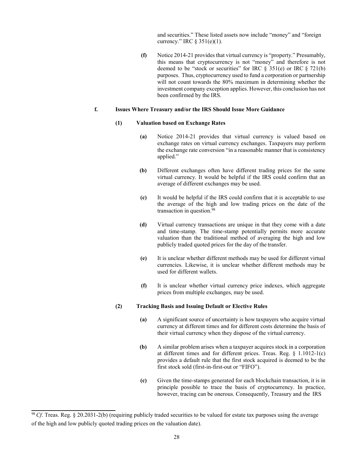and securities." These listed assets now include "money" and "foreign currency." IRC § 351(e)(1).

**(f)** Notice 2014-21 provides that virtual currency is "property." Presumably, this means that cryptocurrency is not "money" and therefore is not deemed to be "stock or securities" for IRC § 351(e) or IRC § 721(b) purposes. Thus, cryptocurrency used to fund a corporation or partnership will not count towards the 80% maximum in determining whether the investment company exception applies. However, this conclusion has not been confirmed by the IRS.

#### **f. Issues Where Treasury and/or the IRS Should Issue More Guidance**

#### **(1) Valuation based on Exchange Rates**

- **(a)** Notice 2014-21 provides that virtual currency is valued based on exchange rates on virtual currency exchanges. Taxpayers may perform the exchange rate conversion "in a reasonable manner that is consistency applied."
- **(b)** Different exchanges often have different trading prices for the same virtual currency. It would be helpful if the IRS could confirm that an average of different exchanges may be used.
- **(c)** It would be helpful if the IRS could confirm that it is acceptable to use the average of the high and low trading prices on the date of the transaction in question[.98](#page-31-0)
- **(d)** Virtual currency transactions are unique in that they come with a date and time-stamp. The time-stamp potentially permits more accurate valuation than the traditional method of averaging the high and low publicly traded quoted prices for the day of the transfer.
- **(e)** It is unclear whether different methods may be used for different virtual currencies. Likewise, it is unclear whether different methods may be used for different wallets.
- **(f)** It is unclear whether virtual currency price indexes, which aggregate prices from multiple exchanges, may be used.

#### **(2) Tracking Basis and Issuing Default or Elective Rules**

- **(a)** A significant source of uncertainty is how taxpayers who acquire virtual currency at different times and for different costs determine the basis of their virtual currency when they dispose of the virtual currency.
- **(b)** A similar problem arises when a taxpayer acquires stock in a corporation at different times and for different prices. Treas. Reg. § 1.1012-1(c) provides a default rule that the first stock acquired is deemed to be the first stock sold (first-in-first-out or "FIFO").
- **(c)** Given the time-stamps generated for each blockchain transaction, it is in principle possible to trace the basis of cryptocurrency. In practice, however, tracing can be onerous. Consequently, Treasury and the IRS

<span id="page-31-0"></span><sup>98</sup>*Cf*. Treas. Reg. § 20.2031-2(b) (requiring publicly traded securities to be valued for estate tax purposes using the average of the high and low publicly quoted trading prices on the valuation date).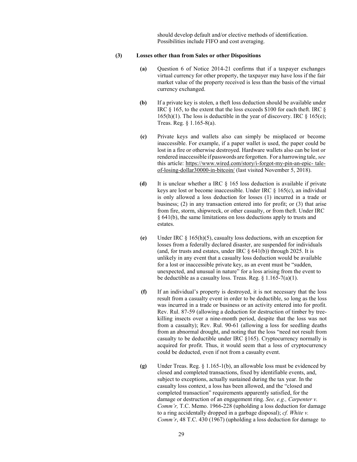should develop default and/or elective methods of identification. Possibilities include FIFO and cost averaging.

#### **(3) Losses other than from Sales or other Dispositions**

- **(a)** Question 6 of Notice 2014-21 confirms that if a taxpayer exchanges virtual currency for other property, the taxpayer may have loss if the fair market value of the property received is less than the basis of the virtual currency exchanged.
- **(b)** If a private key is stolen, a theft loss deduction should be available under IRC § 165, to the extent that the loss exceeds \$100 for each theft. IRC § 165(h)(1). The loss is deductible in the year of discovery. IRC  $\S$  165(e); Treas. Reg. § 1.165-8(a).
- **(c)** Private keys and wallets also can simply be misplaced or become inaccessible. For example, if a paper wallet is used, the paper could be lost in a fire or otherwise destroyed. Hardware wallets also can be lost or rendered inaccessible if passwords are forgotten. For a harrowing tale, *see*  this article: [https://www.wired.com/story/i-forgot-my-pin-an-epic-](https://www.wired.com/story/i-forgot-my-pin-an-epic-tale-of-losing-dollar30000-in-bitcoin/) [tale](https://www.wired.com/story/i-forgot-my-pin-an-epic-tale-of-losing-dollar30000-in-bitcoin/)[of-losing-dollar30000-in-bitcoin/](https://www.wired.com/story/i-forgot-my-pin-an-epic-tale-of-losing-dollar30000-in-bitcoin/) (last visited November 5, 2018).
- **(d)** It is unclear whether a IRC § 165 loss deduction is available if private keys are lost or become inaccessible. Under IRC § 165(c), an individual is only allowed a loss deduction for losses (1) incurred in a trade or business; (2) in any transaction entered into for profit; or (3) that arise from fire, storm, shipwreck, or other casualty, or from theft. Under IRC § 641(b), the same limitations on loss deductions apply to trusts and estates.
- **(e)** Under IRC § 165(h)(5), casualty loss deductions, with an exception for losses from a federally declared disaster, are suspended for individuals (and, for trusts and estates, under IRC  $\S$  641(b)) through 2025. It is unlikely in any event that a casualty loss deduction would be available for a lost or inaccessible private key, as an event must be "sudden, unexpected, and unusual in nature" for a loss arising from the event to be deductible as a casualty loss. Treas. Reg.  $\S$  1.165-7(a)(1).
- **(f)** If an individual's property is destroyed, it is not necessary that the loss result from a casualty event in order to be deductible, so long as the loss was incurred in a trade or business or an activity entered into for profit. Rev. Rul. 87-59 (allowing a deduction for destruction of timber by treekilling insects over a nine-month period, despite that the loss was not from a casualty); Rev. Rul. 90-61 (allowing a loss for seedling deaths from an abnormal drought, and noting that the loss "need not result from casualty to be deductible under IRC §165). Cryptocurrency normally is acquired for profit. Thus, it would seem that a loss of cryptocurrency could be deducted, even if not from a casualty event.
- **(g)** Under Treas. Reg. § 1.165-1(b), an allowable loss must be evidenced by closed and completed transactions, fixed by identifiable events, and, subject to exceptions, actually sustained during the tax year. In the casualty loss context, a loss has been allowed, and the "closed and completed transaction" requirements apparently satisfied, for the damage or destruction of an engagement ring. *See, e.g., Carpenter v. Comm'r,* T.C. Memo. 1966-228 (upholding a loss deduction for damage to a ring accidentally dropped in a garbage disposal); *cf. White v. Comm'r*, 48 T.C. 430 (1967) (upholding a loss deduction for damage to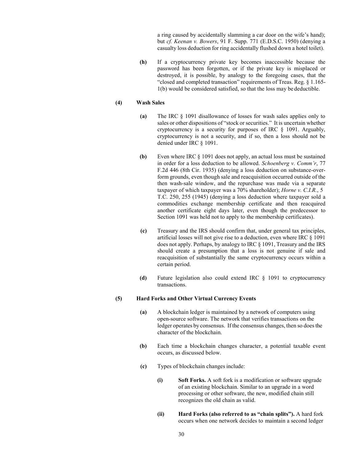a ring caused by accidentally slamming a car door on the wife's hand); but *cf. Keenan v. Bowers*, 91 F. Supp. 771 (E.D.S.C. 1950) (denying a casualty loss deduction for ring accidentally flushed down a hotel toilet).

**(h)** If a cryptocurrency private key becomes inaccessible because the password has been forgotten, or if the private key is misplaced or destroyed, it is possible, by analogy to the foregoing cases, that the "closed and completed transaction" requirements of Treas. Reg. § 1.165- 1(b) would be considered satisfied, so that the loss may be deductible.

## **(4) Wash Sales**

- **(a)** The IRC § 1091 disallowance of losses for wash sales applies only to sales or other dispositions of "stock or securities." It is uncertain whether cryptocurrency is a security for purposes of IRC § 1091. Arguably, cryptocurrency is not a security, and if so, then a loss should not be denied under IRC § 1091.
- **(b)** Even where IRC § 1091 does not apply, an actual loss must be sustained in order for a loss deduction to be allowed. *Schoenberg v. Comm'r*, 77 F.2d 446 (8th Cir. 1935) (denying a loss deduction on substance-overform grounds, even though sale and reacquisition occurred outside of the then wash-sale window, and the repurchase was made via a separate taxpayer of which taxpayer was a 70% shareholder); *Horne v. C.I.R.*, 5 T.C. 250, 255 (1945) (denying a loss deduction where taxpayer sold a commodities exchange membership certificate and then reacquired another certificate eight days later, even though the predecessor to Section 1091 was held not to apply to the membership certificates).
- **(c)** Treasury and the IRS should confirm that, under general tax principles, artificial losses will not give rise to a deduction, even where IRC § 1091 does not apply. Perhaps, by analogy to IRC § 1091, Treasury and the IRS should create a presumption that a loss is not genuine if sale and reacquisition of substantially the same cryptocurrency occurs within a certain period.
- **(d)** Future legislation also could extend IRC § 1091 to cryptocurrency transactions.

#### **(5) Hard Forks and Other Virtual Currency Events**

- **(a)** A blockchain ledger is maintained by a network of computers using open-source software. The network that verifies transactions on the ledger operates by consensus. If the consensus changes, then so does the character of the blockchain.
- **(b)** Each time a blockchain changes character, a potential taxable event occurs, as discussed below.
- **(c)** Types of blockchain changes include:
	- **(i) Soft Forks.** A soft fork is a modification or software upgrade of an existing blockchain. Similar to an upgrade in a word processing or other software, the new, modified chain still recognizes the old chain as valid.
	- **(ii) Hard Forks (also referred to as "chain splits").** A hard fork occurs when one network decides to maintain a second ledger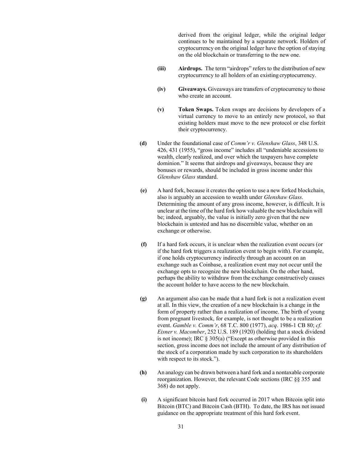derived from the original ledger, while the original ledger continues to be maintained by a separate network. Holders of cryptocurrency on the original ledger have the option of staying on the old blockchain or transferring to the new one.

- **(iii) Airdrops.** The term "airdrops" refers to the distribution of new cryptocurrency to all holders of an existing cryptocurrency.
- **(iv) Giveaways.** Giveaways are transfers of cryptocurrency to those who create an account.
- **(v) Token Swaps.** Token swaps are decisions by developers of a virtual currency to move to an entirely new protocol, so that existing holders must move to the new protocol or else forfeit their cryptocurrency.
- **(d)** Under the foundational case of *Comm'r v. Glenshaw Glass*, 348 U.S. 426, 431 (1955), "gross income" includes all "undeniable accessions to wealth, clearly realized, and over which the taxpayers have complete dominion." It seems that airdrops and giveaways, because they are bonuses or rewards, should be included in gross income under this *Glenshaw Glass* standard.
- **(e)** A hard fork, because it creates the option to use a new forked blockchain, also is arguably an accession to wealth under *Glenshaw Glass*. Determining the amount of any gross income, however, is difficult. It is unclear at the time of the hard fork how valuable the new blockchain will be; indeed, arguably, the value is initially zero given that the new blockchain is untested and has no discernible value, whether on an exchange or otherwise.
- **(f)** If a hard fork occurs, it is unclear when the realization event occurs (or if the hard fork triggers a realization event to begin with). For example, if one holds cryptocurrency indirectly through an account on an exchange such as Coinbase, a realization event may not occur until the exchange opts to recognize the new blockchain. On the other hand, perhaps the ability to withdraw from the exchange constructively causes the account holder to have access to the new blockchain.
- **(g)** An argument also can be made that a hard fork is not a realization event at all. In this view, the creation of a new blockchain is a change in the form of property rather than a realization of income. The birth of young from pregnant livestock, for example, is not thought to be a realization event. *Gamble v. Comm'r*, 68 T.C. 800 (1977), *acq*. 1986-1 CB 80; *cf. Eisner v. Macomber*, 252 U.S. 189 (1920) (holding that a stock dividend is not income); IRC § 305(a) ("Except as otherwise provided in this section, gross income does not include the amount of any distribution of the stock of a corporation made by such corporation to its shareholders with respect to its stock.").
- **(h)** An analogy can be drawn between a hard fork and a nontaxable corporate reorganization. However, the relevant Code sections (IRC §§ 355 and 368) do not apply.
- **(i)** A significant bitcoin hard fork occurred in 2017 when Bitcoin split into Bitcoin (BTC) and Bitcoin Cash (BTH). To date, the IRS has not issued guidance on the appropriate treatment of this hard fork event.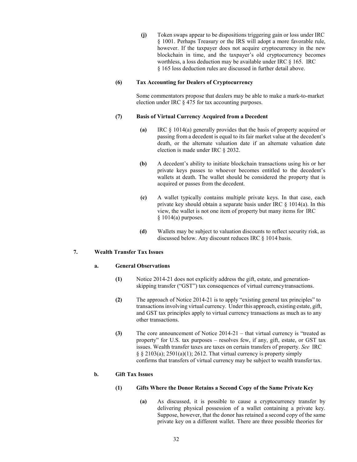**(j)** Token swaps appear to be dispositions triggering gain or loss under IRC § 1001. Perhaps Treasury or the IRS will adopt a more favorable rule, however. If the taxpayer does not acquire cryptocurrency in the new blockchain in time, and the taxpayer's old cryptocurrency becomes worthless, a loss deduction may be available under IRC § 165. IRC § 165 loss deduction rules are discussed in further detail above.

### **(6) Tax Accounting for Dealers of Cryptocurrency**

Some commentators propose that dealers may be able to make a mark-to-market election under IRC § 475 for tax accounting purposes.

### **(7) Basis of Virtual Currency Acquired from a Decedent**

- **(a)** IRC § 1014(a) generally provides that the basis of property acquired or passing from a decedent is equal to its fair market value at the decedent's death, or the alternate valuation date if an alternate valuation date election is made under IRC § 2032.
- **(b)** A decedent's ability to initiate blockchain transactions using his or her private keys passes to whoever becomes entitled to the decedent's wallets at death. The wallet should be considered the property that is acquired or passes from the decedent.
- **(c)** A wallet typically contains multiple private keys. In that case, each private key should obtain a separate basis under IRC § 1014(a). In this view, the wallet is not one item of property but many items for IRC § 1014(a) purposes.
- **(d)** Wallets may be subject to valuation discounts to reflect security risk, as discussed below. Any discount reduces IRC § 1014 basis.

## **7. Wealth Transfer Tax Issues**

## **a. General Observations**

- **(1)** Notice 2014-21 does not explicitly address the gift, estate, and generationskipping transfer ("GST") tax consequences of virtual currencytransactions.
- **(2)** The approach of Notice 2014-21 is to apply "existing general tax principles" to transactions involving virtual currency. Under this approach, existing estate, gift, and GST tax principles apply to virtual currency transactions as much as to any other transactions.
- **(3)** The core announcement of Notice 2014-21 that virtual currency is "treated as property" for U.S. tax purposes – resolves few, if any, gift, estate, or GST tax issues. Wealth transfer taxes are taxes on certain transfers of property. *See* IRC  $\S$   $\S$  2103(a); 2501(a)(1); 2612. That virtual currency is property simply confirms that transfers of virtual currency may be subject to wealth transfer tax.

## **b. Gift Tax Issues**

## **(1) Gifts Where the Donor Retains a Second Copy of the Same Private Key**

**(a)** As discussed, it is possible to cause a cryptocurrency transfer by delivering physical possession of a wallet containing a private key. Suppose, however, that the donor has retained a second copy of the same private key on a different wallet. There are three possible theories for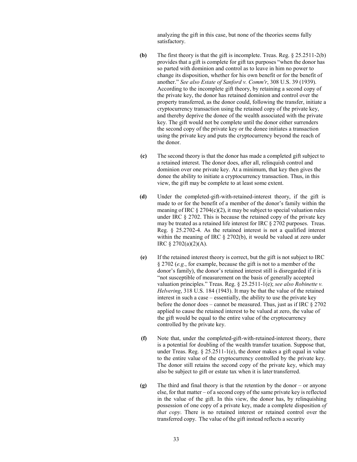analyzing the gift in this case, but none of the theories seems fully satisfactory.

- **(b)** The first theory is that the gift is incomplete. Treas. Reg. § 25.2511-2(b) provides that a gift is complete for gift tax purposes "when the donor has so parted with dominion and control as to leave in him no power to change its disposition, whether for his own benefit or for the benefit of another." *See also Estate of Sanford v. Comm'r*, 308 U.S. 39 (1939). According to the incomplete gift theory, by retaining a second copy of the private key, the donor has retained dominion and control over the property transferred, as the donor could, following the transfer, initiate a cryptocurrency transaction using the retained copy of the private key, and thereby deprive the donee of the wealth associated with the private key. The gift would not be complete until the donor either surrenders the second copy of the private key or the donee initiates a transaction using the private key and puts the cryptocurrency beyond the reach of the donor.
- **(c)** The second theory is that the donor has made a completed gift subject to a retained interest. The donor does, after all, relinquish control and dominion over one private key. At a minimum, that key then gives the donee the ability to initiate a cryptocurrency transaction. Thus, in this view, the gift may be complete to at least some extent.
- **(d)** Under the completed-gift-with-retained-interest theory, if the gift is made to or for the benefit of a member of the donor's family within the meaning of IRC  $\S 2704(c)(2)$ , it may be subject to special valuation rules under IRC § 2702. This is because the retained copy of the private key may be treated as a retained life interest for IRC § 2702 purposes. Treas. Reg. § 25.2702-4. As the retained interest is not a qualified interest within the meaning of IRC § 2702(b), it would be valued at zero under IRC § 2702(a)(2)(A).
- **(e)** If the retained interest theory is correct, but the gift is not subject to IRC § 2702 (*e.g.*, for example, because the gift is not to a member of the donor's family), the donor's retained interest still is disregarded if it is "not susceptible of measurement on the basis of generally accepted valuation principles." Treas. Reg. § 25.2511-1(e); *see also Robinette v. Helvering*, 318 U.S. 184 (1943). It may be that the value of the retained interest in such a case – essentially, the ability to use the private key before the donor does – cannot be measured. Thus, just as if IRC § 2702 applied to cause the retained interest to be valued at zero, the value of the gift would be equal to the entire value of the cryptocurrency controlled by the private key.
- **(f)** Note that, under the completed-gift-with-retained-interest theory, there is a potential for doubling of the wealth transfer taxation. Suppose that, under Treas. Reg.  $\S 25.2511-1(e)$ , the donor makes a gift equal in value to the entire value of the cryptocurrency controlled by the private key. The donor still retains the second copy of the private key, which may also be subject to gift or estate tax when it is later transferred.
- **(g)** The third and final theory is that the retention by the donor or anyone else, for that matter – of a second copy of the same private key is reflected in the value of the gift. In this view, the donor has, by relinquishing possession of one copy of a private key, made a complete disposition *of that copy*. There is no retained interest or retained control over the transferred copy. The value of the gift instead reflects a security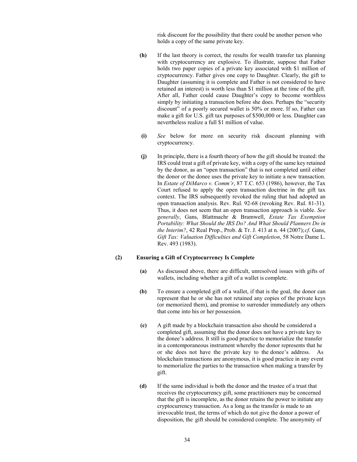risk discount for the possibility that there could be another person who holds a copy of the same private key.

- **(h)** If the last theory is correct, the results for wealth transfer tax planning with cryptocurrency are explosive. To illustrate, suppose that Father holds two paper copies of a private key associated with \$1 million of cryptocurrency. Father gives one copy to Daughter. Clearly, the gift to Daughter (assuming it is complete and Father is not considered to have retained an interest) is worth less than \$1 million at the time of the gift. After all, Father could cause Daughter's copy to become worthless simply by initiating a transaction before she does. Perhaps the "security discount" of a poorly secured wallet is 50% or more. If so, Father can make a gift for U.S. gift tax purposes of \$500,000 or less. Daughter can nevertheless realize a full \$1 million of value.
- **(i)** *See* below for more on security risk discount planning with cryptocurrency.
- **(j)** In principle, there is a fourth theory of how the gift should be treated: the IRS could treat a gift of private key, with a copy of the same key retained by the donor, as an "open transaction" that is not completed until either the donor or the donee uses the private key to initiate a new transaction. In *Estate of DiMarco v. Comm'r*, 87 T.C. 653 (1986), however, the Tax Court refused to apply the open transaction doctrine in the gift tax context. The IRS subsequently revoked the ruling that had adopted an open transaction analysis. Rev. Rul. 92-68 (revoking Rev. Rul. 81-31). Thus, it does not seem that an open transaction approach is viable. *See generally*, Gans, Blattmachr & Bramwell, *Estate Tax Exemption Portability: What Should the IRS Do? And What Should Planners Do in the Interim?*, 42 Real Prop., Prob. & Tr. J. 413 at n. 44 (2007);*cf.* Gans, *Gift Tax: Valuation Difficulties and Gift Completion*, 58 Notre Dame L. Rev. 493 (1983).

#### **(2) Ensuring a Gift of Cryptocurrency Is Complete**

- **(a)** As discussed above, there are difficult, unresolved issues with gifts of wallets, including whether a gift of a wallet is complete.
- **(b)** To ensure a completed gift of a wallet, if that is the goal, the donor can represent that he or she has not retained any copies of the private keys (or memorized them), and promise to surrender immediately any others that come into his or her possession.
- **(c)** A gift made by a blockchain transaction also should be considered a completed gift, assuming that the donor does not have a private key to the donee's address. It still is good practice to memorialize the transfer in a contemporaneous instrument whereby the donor represents that he or she does not have the private key to the donee's address. As blockchain transactions are anonymous, it is good practice in any event to memorialize the parties to the transaction when making a transfer by gift.
- **(d)** If the same individual is both the donor and the trustee of a trust that receives the cryptocurrency gift, some practitioners may be concerned that the gift is incomplete, as the donor retains the power to initiate any cryptocurrency transaction. As a long as the transfer is made to an irrevocable trust, the terms of which do not give the donor a power of disposition, the gift should be considered complete. The anonymity of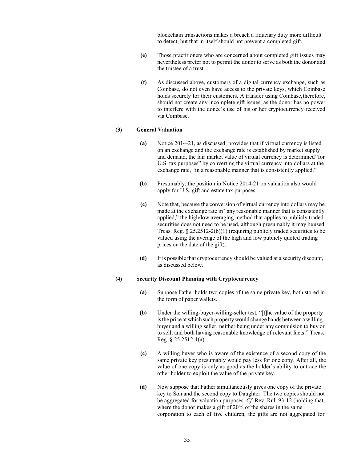blockchain transactions makes a breach a fiduciary duty more difficult to detect, but that in itself should not prevent a completed gift.

- **(e)** Those practitioners who are concerned about completed gift issues may nevertheless prefer not to permit the donor to serve as both the donor and the trustee of a trust.
- **(f)** As discussed above, customers of a digital currency exchange, such as Coinbase, do not even have access to the private keys, which Coinbase holds securely for their customers. A transfer using Coinbase, therefore, should not create any incomplete gift issues, as the donor has no power to interfere with the donee's use of his or her cryptocurrency received via Coinbase.

## **(3) General Valuation**

- **(a)** Notice 2014-21, as discussed, provides that if virtual currency is listed on an exchange and the exchange rate is established by market supply and demand, the fair market value of virtual currency is determined"for U.S. tax purposes" by converting the virtual currency into dollars at the exchange rate, "in a reasonable manner that is consistently applied."
- **(b)** Presumably, the position in Notice 2014-21 on valuation also would apply for U.S. gift and estate tax purposes.
- **(c)** Note that, because the conversion of virtual currency into dollars may be made at the exchange rate in "any reasonable manner that is consistently applied," the high/low averaging method that applies to publicly traded securities does not need to be used, although presumably it may beused. Treas. Reg. § 25.2512-2(b)(1) (requiring publicly traded securities to be valued using the average of the high and low publicly quoted trading prices on the date of the gift).
- **(d)** It is possible that cryptocurrency should be valued at a security discount, as discussed below.

## **(4) Security Discount Planning with Cryptocurrency**

- **(a)** Suppose Father holds two copies of the same private key, both stored in the form of paper wallets.
- **(b)** Under the willing-buyer-willing-seller test, "[t]he value of the property isthe price at which such property would change hands between a willing buyer and a willing seller, neither being under any compulsion to buy or to sell, and both having reasonable knowledge of relevant facts." Treas. Reg. § 25.2512-1(a).
- **(c)** A willing buyer who is aware of the existence of a second copy of the same private key presumably would pay less for one copy. After all, the value of one copy is only as good as the holder's ability to outrace the other holder to exploit the value of the private key.
- **(d)** Now suppose that Father simultaneously gives one copy of the private key to Son and the second copy to Daughter. The two copies should not be aggregated for valuation purposes. *Cf.* Rev. Rul. 93-12 (holding that, where the donor makes a gift of 20% of the shares in the same corporation to each of five children, the gifts are not aggregated for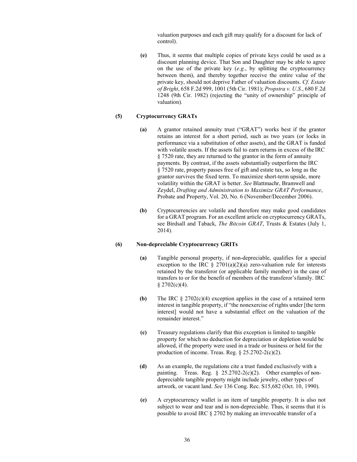valuation purposes and each gift may qualify for a discount for lack of control).

**(e)** Thus, it seems that multiple copies of private keys could be used as a discount planning device. That Son and Daughter may be able to agree on the use of the private key (*e.g.*, by splitting the cryptocurrency between them), and thereby together receive the entire value of the private key, should not deprive Father of valuation discounts. *Cf*. *Estate of Bright*, 658 F.2d 999, 1001 (5th Cir. 1981); *Propstra v. U.S.*, 680 F.2d 1248 (9th Cir. 1982) (rejecting the "unity of ownership" principle of valuation).

#### **(5) Cryptocurrency GRATs**

- **(a)** A grantor retained annuity trust ("GRAT") works best if the grantor retains an interest for a short period, such as two years (or locks in performance via a substitution of other assets), and the GRAT is funded with volatile assets. If the assets fail to earn returns in excess of the IRC § 7520 rate, they are returned to the grantor in the form of annuity payments. By contrast, if the assets substantially outperform the IRC § 7520 rate, property passes free of gift and estate tax, so long as the grantor survives the fixed term. To maximize short-term upside, more volatility within the GRAT is better. *See* Blattmachr, Bramwell and Zeydel, *Drafting and Administration to Maximize GRAT Performance*, Probate and Property, Vol. 20, No. 6 (November/December 2006).
- **(b)** Cryptocurrencies are volatile and therefore may make good candidates for a GRAT program. For an excellent article on cryptocurrency GRATs, see Birdsall and Taback, *The Bitcoin GRAT*, Trusts & Estates (July 1, 2014).

## **(6) Non-depreciable Cryptocurrency GRITs**

- **(a)** Tangible personal property, if non-depreciable, qualifies for a special exception to the IRC  $\S 2701(a)(2)(a)$  zero-valuation rule for interests retained by the transferor (or applicable family member) in the case of transfers to or for the benefit of members of the transferor'sfamily. IRC  $$2702(c)(4).$
- **(b)** The IRC § 2702(c)(4) exception applies in the case of a retained term interest in tangible property, if "the nonexercise of rights under [the term interest] would not have a substantial effect on the valuation of the remainder interest."
- **(c)** Treasury regulations clarify that this exception is limited to tangible property for which no deduction for depreciation or depletion would be allowed, if the property were used in a trade or business or held for the production of income. Treas. Reg. § 25.2702-2(c)(2).
- **(d)** As an example, the regulations cite a trust funded exclusively with a painting. Treas. Reg.  $\S$  25.2702-2(c)(2). Other examples of nondepreciable tangible property might include jewelry, other types of artwork, or vacant land. *See* 136 Cong. Rec. S15,682 (Oct. 10, 1990).
- **(e)** A cryptocurrency wallet is an item of tangible property. It is also not subject to wear and tear and is non-depreciable. Thus, it seems that it is possible to avoid IRC § 2702 by making an irrevocable transfer of a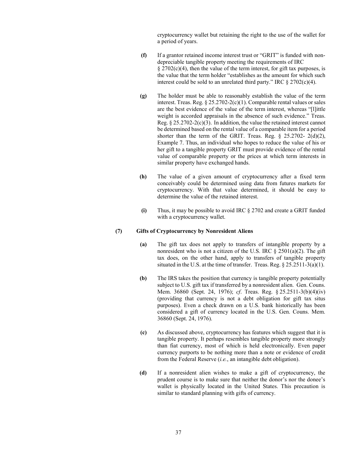cryptocurrency wallet but retaining the right to the use of the wallet for a period of years.

- **(f)** If a grantor retained income interest trust or "GRIT" is funded with nondepreciable tangible property meeting the requirements of IRC  $\S 2702(c)(4)$ , then the value of the term interest, for gift tax purposes, is the value that the term holder "establishes as the amount for which such interest could be sold to an unrelated third party." IRC  $\S 2702(c)(4)$ .
- **(g)** The holder must be able to reasonably establish the value of the term interest. Treas. Reg. § 25.2702-2(c)(1). Comparable rental values or sales are the best evidence of the value of the term interest, whereas "[l]ittle weight is accorded appraisals in the absence of such evidence." Treas. Reg.  $\S 25.2702 - 2(c)(3)$ . In addition, the value the retained interest cannot be determined based on the rental value of a comparable item for a period shorter than the term of the GRIT. Treas. Reg. § 25.2702- 2(d)(2), Example 7. Thus, an individual who hopes to reduce the value of his or her gift to a tangible property GRIT must provide evidence of the rental value of comparable property or the prices at which term interests in similar property have exchanged hands.
- **(h)** The value of a given amount of cryptocurrency after a fixed term conceivably could be determined using data from futures markets for cryptocurrency. With that value determined, it should be easy to determine the value of the retained interest.
- **(i)** Thus, it may be possible to avoid IRC § 2702 and create a GRIT funded with a cryptocurrency wallet.

#### **(7) Gifts of Cryptocurrency by Nonresident Aliens**

- **(a)** The gift tax does not apply to transfers of intangible property by a nonresident who is not a citizen of the U.S. IRC  $\S 2501(a)(2)$ . The gift tax does, on the other hand, apply to transfers of tangible property situated in the U.S. at the time of transfer. Treas. Reg. § 25.2511-3(a)(1).
- **(b)** The IRS takes the position that currency is tangible property potentially subject to U.S. gift tax if transferred by a nonresident alien. Gen. Couns. Mem. 36860 (Sept. 24, 1976); *cf*. Treas. Reg. § 25.2511-3(b)(4)(iv) (providing that currency is not a debt obligation for gift tax situs purposes). Even a check drawn on a U.S. bank historically has been considered a gift of currency located in the U.S. Gen. Couns. Mem. 36860 (Sept. 24, 1976).
- **(c)** As discussed above, cryptocurrency has features which suggest that it is tangible property. It perhaps resembles tangible property more strongly than fiat currency, most of which is held electronically. Even paper currency purports to be nothing more than a note or evidence of credit from the Federal Reserve (*i.e.*, an intangible debt obligation).
- **(d)** If a nonresident alien wishes to make a gift of cryptocurrency, the prudent course is to make sure that neither the donor's nor the donee's wallet is physically located in the United States. This precaution is similar to standard planning with gifts of currency.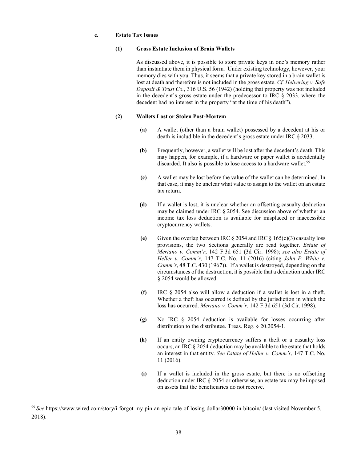#### **c. Estate Tax Issues**

#### **(1) Gross Estate Inclusion of Brain Wallets**

As discussed above, it is possible to store private keys in one's memory rather than instantiate them in physical form. Under existing technology, however, your memory dies with you. Thus, it seems that a private key stored in a brain wallet is lost at death and therefore is not included in the gross estate. *Cf. Helvering v. Safe Deposit & Trust Co.*, 316 U.S. 56 (1942) (holding that property was not included in the decedent's gross estate under the predecessor to IRC § 2033, where the decedent had no interest in the property "at the time of his death").

## **(2) Wallets Lost or Stolen Post-Mortem**

- **(a)** A wallet (other than a brain wallet) possessed by a decedent at his or death is includible in the decedent's gross estate under IRC § 2033.
- **(b)** Frequently, however, a wallet will be lost after the decedent's death. This may happen, for example, if a hardware or paper wallet is accidentally discarded. It also is possible to lose access to a hardware wallet.<sup>99</sup>
- **(c)** A wallet may be lost before the value of the wallet can be determined. In that case, it may be unclear what value to assign to the wallet on an estate tax return.
- **(d)** If a wallet is lost, it is unclear whether an offsetting casualty deduction may be claimed under IRC § 2054. See discussion above of whether an income tax loss deduction is available for misplaced or inaccessible cryptocurrency wallets.
- **(e)** Given the overlap between IRC  $\S$  2054 and IRC  $\S$  165(c)(3) casualty loss provisions, the two Sections generally are read together. *Estate of Meriano v. Comm'r*, 142 F.3d 651 (3d Cir. 1998); *see also Estate of Heller v. Comm'r*, 147 T.C. No. 11 (2016) (citing *John P. White v. Comm'r*, 48 T.C. 430 (1967)). If a wallet is destroyed, depending on the circumstances of the destruction, it is possible that a deduction under IRC § 2054 would be allowed.
- **(f)** IRC § 2054 also will allow a deduction if a wallet is lost in a theft. Whether a theft has occurred is defined by the jurisdiction in which the loss has occurred. *Meriano v. Comm'r*, 142 F.3d 651 (3d Cir. 1998).
- **(g)** No IRC § 2054 deduction is available for losses occurring after distribution to the distributee. Treas. Reg. § 20.2054-1.
- **(h)** If an entity owning cryptocurrency suffers a theft or a casualty loss occurs, an IRC § 2054 deduction may be available to the estate that holds an interest in that entity. *See Estate of Heller v. Comm'r*, 147 T.C. No. 11 (2016).
- **(i)** If a wallet is included in the gross estate, but there is no offsetting deduction under IRC § 2054 or otherwise, an estate tax may beimposed on assets that the beneficiaries do not receive.

<span id="page-41-0"></span><sup>99</sup>*See* <https://www.wired.com/story/i-forgot-my-pin-an-epic-tale-of-losing-dollar30000-in-bitcoin/> (last visited November 5, 2018).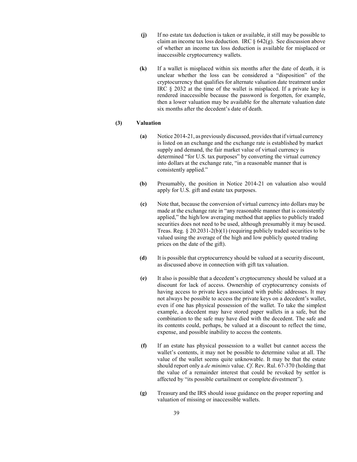- **(j)** If no estate tax deduction is taken or available, it still may be possible to claim an income tax loss deduction. IRC  $\S$  642(g). See discussion above of whether an income tax loss deduction is available for misplaced or inaccessible cryptocurrency wallets.
- **(k)** If a wallet is misplaced within six months after the date of death, it is unclear whether the loss can be considered a "disposition" of the cryptocurrency that qualifies for alternate valuation date treatment under IRC § 2032 at the time of the wallet is misplaced. If a private key is rendered inaccessible because the password is forgotten, for example, then a lower valuation may be available for the alternate valuation date six months after the decedent's date of death.

#### **(3) Valuation**

- **(a)** Notice 2014-21, as previously discussed, providesthat if virtual currency is listed on an exchange and the exchange rate is established by market supply and demand, the fair market value of virtual currency is determined "for U.S. tax purposes" by converting the virtual currency into dollars at the exchange rate, "in a reasonable manner that is consistently applied."
- **(b)** Presumably, the position in Notice 2014-21 on valuation also would apply for U.S. gift and estate tax purposes.
- **(c)** Note that, because the conversion of virtual currency into dollars may be made at the exchange rate in "any reasonable manner that is consistently applied," the high/low averaging method that applies to publicly traded securities does not need to be used, although presumably it may beused. Treas. Reg. § 20.2031-2(b)(1) (requiring publicly traded securities to be valued using the average of the high and low publicly quoted trading prices on the date of the gift).
- **(d)** It is possible that cryptocurrency should be valued at a security discount, as discussed above in connection with gift tax valuation.
- **(e)** It also is possible that a decedent's cryptocurrency should be valued at a discount for lack of access. Ownership of cryptocurrency consists of having access to private keys associated with public addresses. It may not always be possible to access the private keys on a decedent's wallet, even if one has physical possession of the wallet. To take the simplest example, a decedent may have stored paper wallets in a safe, but the combination to the safe may have died with the decedent. The safe and its contents could, perhaps, be valued at a discount to reflect the time, expense, and possible inability to access the contents.
- **(f)** If an estate has physical possession to a wallet but cannot access the wallet's contents, it may not be possible to determine value at all. The value of the wallet seems quite unknowable. It may be that the estate should report only a *de minimis* value. *Cf*. Rev. Rul. 67-370 (holding that the value of a remainder interest that could be revoked by settlor is affected by "its possible curtailment or complete divestment").
- **(g)** Treasury and the IRS should issue guidance on the proper reporting and valuation of missing or inaccessible wallets.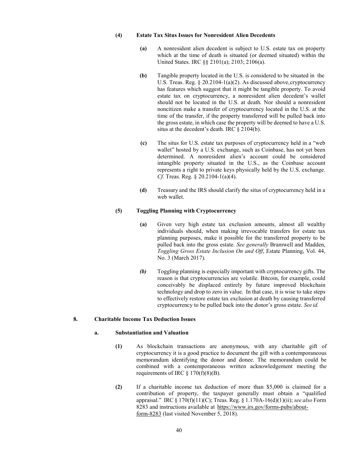## **(4) Estate Tax Situs Issues for Nonresident Alien Decedents**

- **(a)** A nonresident alien decedent is subject to U.S. estate tax on property which at the time of death is situated (or deemed situated) within the United States. IRC §§ 2101(a); 2103; 2106(a).
- **(b)** Tangible property located in the U.S. is considered to be situated in the U.S. Treas. Reg. § 20.2104-1(a)(2). As discussed above, cryptocurrency has features which suggest that it might be tangible property. To avoid estate tax on cryptocurrency, a nonresident alien decedent's wallet should not be located in the U.S. at death. Nor should a nonresident noncitizen make a transfer of cryptocurrency located in the U.S. at the time of the transfer, if the property transferred will be pulled back into the gross estate, in which case the property will be deemed to have a U.S. situs at the decedent's death. IRC § 2104(b).
- **(c)** The situs for U.S. estate tax purposes of cryptocurrency held in a "web wallet" hosted by a U.S. exchange, such as Coinbase, has not yet been determined. A nonresident alien's account could be considered intangible property situated in the U.S., as the Coinbase account represents a right to private keys physically held by the U.S. exchange. *Cf.* Treas. Reg. § 20.2104-1(a)(4).
- **(d)** Treasury and the IRS should clarify the situs of cryptocurrency held in a web wallet.

#### **(5) Toggling Planning with Cryptocurrency**

- **(a)** Given very high estate tax exclusion amounts, almost all wealthy individuals should, when making irrevocable transfers for estate tax planning purposes, make it possible for the transferred property to be pulled back into the gross estate. *See generally* Bramwell and Madden, *Toggling Gross Estate Inclusion On and Off*, Estate Planning, Vol. 44, No. 3 (March 2017).
- *(b)* Toggling planning is especially important with cryptocurrency gifts. The reason is that cryptocurrencies are volatile. Bitcoin, for example, could conceivably be displaced entirely by future improved blockchain technology and drop to zero in value. In that case, it is wise to take steps to effectively restore estate tax exclusion at death by causing transferred cryptocurrency to be pulled back into the donor's gross estate. *See id.*

## **8. Charitable Income Tax Deduction Issues**

#### **a. Substantiation and Valuation**

- **(1)** As blockchain transactions are anonymous, with any charitable gift of cryptocurrency it is a good practice to document the gift with a contemporaneous memorandum identifying the donor and donee. The memorandum could be combined with a contemporaneous written acknowledgement meeting the requirements of IRC  $\S 170(f)(8)(B)$ .
- **(2)** If a charitable income tax deduction of more than \$5,000 is claimed for a contribution of property, the taxpayer generally must obtain a "qualified appraisal." IRC § 170(f)(11)(C); Treas. Reg. § 1.170A-16(d)(1)(ii); *see also* Form 8283 and instructions available at [https://www.irs.gov/forms-pubs/about](https://www.irs.gov/forms-pubs/about-form-8283)[form-8](https://www.irs.gov/forms-pubs/about-form-8283)283 (last visited November 5, 2018).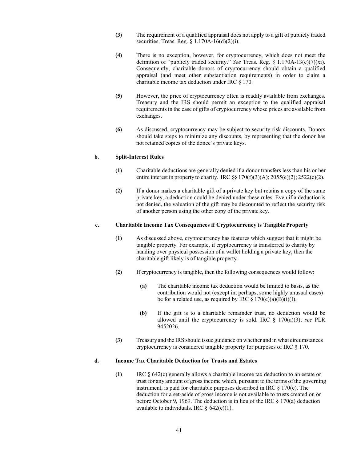- **(3)** The requirement of a qualified appraisal does not apply to a gift of publicly traded securities. Treas. Reg. § 1.170A-16(d)(2)(i).
- **(4)** There is no exception, however, for cryptocurrency, which does not meet the definition of "publicly traded security." *See* Treas. Reg. § 1.170A-13(c)(7)(xi). Consequently, charitable donors of cryptocurrency should obtain a qualified appraisal (and meet other substantiation requirements) in order to claim a charitable income tax deduction under IRC § 170.
- **(5)** However, the price of cryptocurrency often is readily available from exchanges. Treasury and the IRS should permit an exception to the qualified appraisal requirements in the case of gifts of cryptocurrency whose prices are available from exchanges.
- **(6)** As discussed, cryptocurrency may be subject to security risk discounts. Donors should take steps to minimize any discounts, by representing that the donor has not retained copies of the donee's private keys.

#### **b. Split-Interest Rules**

- **(1)** Charitable deductions are generally denied if a donor transfers less than his or her entire interest in property to charity. IRC  $\S$ § 170(f)(3)(A); 2055(e)(2); 2522(c)(2).
- **(2)** If a donor makes a charitable gift of a private key but retains a copy of the same private key, a deduction could be denied under these rules. Even if a deductionis not denied, the valuation of the gift may be discounted to reflect the security risk of another person using the other copy of the private key.

#### **c. Charitable Income Tax Consequences if Cryptocurrency is Tangible Property**

- **(1)** As discussed above, cryptocurrency has features which suggest that it might be tangible property. For example, if cryptocurrency is transferred to charity by handing over physical possession of a wallet holding a private key, then the charitable gift likely is of tangible property.
- **(2)** If cryptocurrency is tangible, then the following consequences would follow:
	- **(a)** The charitable income tax deduction would be limited to basis, as the contribution would not (except in, perhaps, some highly unusual cases) be for a related use, as required by IRC  $\S 170(e)(a)(B)(i)(I)$ .
	- **(b)** If the gift is to a charitable remainder trust, no deduction would be allowed until the cryptocurrency is sold. IRC § 170(a)(3); *see* PLR 9452026.
- **(3)** Treasury and the IRS should issue guidance on whether and in what circumstances cryptocurrency is considered tangible property for purposes of IRC § 170.

#### **d. Income Tax Charitable Deduction for Trusts and Estates**

**(1)** IRC § 642(c) generally allows a charitable income tax deduction to an estate or trust for any amount of gross income which, pursuant to the terms of the governing instrument, is paid for charitable purposes described in IRC § 170(c). The deduction for a set-aside of gross income is not available to trusts created on or before October 9, 1969. The deduction is in lieu of the IRC § 170(a) deduction available to individuals. IRC  $\S$  642(c)(1).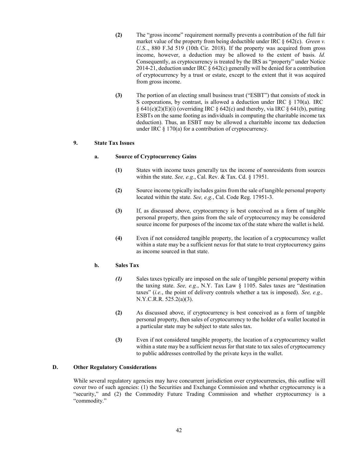- **(2)** The "gross income" requirement normally prevents a contribution of the full fair market value of the property from being deductible under IRC § 642(c). *Green v. U.S.*., 880 F.3d 519 (10th Cir. 2018). If the property was acquired from gross income, however, a deduction may be allowed to the extent of basis. *Id.*  Consequently, as cryptocurrency is treated by the IRS as "property" under Notice 2014-21, deduction under IRC  $\S$  642(c) generally will be denied for a contribution of cryptocurrency by a trust or estate, except to the extent that it was acquired from gross income.
- **(3)** The portion of an electing small business trust ("ESBT") that consists of stock in S corporations, by contrast, is allowed a deduction under IRC  $\S$  170(a). IRC  $\S$  641(c)(2)(E)(i) (overriding IRC  $\S$  642(c) and thereby, via IRC  $\S$  641(b), putting ESBTs on the same footing as individuals in computing the charitable income tax deduction). Thus, an ESBT may be allowed a charitable income tax deduction under IRC  $\S 170(a)$  for a contribution of cryptocurrency.

#### **9. State Tax Issues**

#### **a. Source of Cryptocurrency Gains**

- **(1)** States with income taxes generally tax the income of nonresidents from sources within the state. *See, e.g.*, Cal. Rev. & Tax. Cd. § 17951.
- **(2)** Source income typically includes gains from the sale of tangible personal property located within the state. *See, e.g.*, Cal. Code Reg. 17951-3.
- **(3)** If, as discussed above, cryptocurrency is best conceived as a form of tangible personal property, then gains from the sale of cryptocurrency may be considered source income for purposes of the income tax of the state where the wallet is held.
- **(4)** Even if not considered tangible property, the location of a cryptocurrency wallet within a state may be a sufficient nexus for that state to treat cryptocurrency gains as income sourced in that state.

#### **b. Sales Tax**

- *(1)* Sales taxes typically are imposed on the sale of tangible personal property within the taxing state. *See, e.g.*, N.Y. Tax Law § 1105. Sales taxes are "destination taxes" (*i.e.*, the point of delivery controls whether a tax is imposed). *See, e.g.,* N.Y.C.R.R. 525.2(a)(3).
- **(2)** As discussed above, if cryptocurrency is best conceived as a form of tangible personal property, then sales of cryptocurrency to the holder of a wallet located in a particular state may be subject to state sales tax.
- **(3)** Even if not considered tangible property, the location of a cryptocurrency wallet within a state may be a sufficient nexus for that state to tax sales of cryptocurrency to public addresses controlled by the private keys in the wallet.

## **D. Other Regulatory Considerations**

While several regulatory agencies may have concurrent jurisdiction over cryptocurrencies, this outline will cover two of such agencies: (1) the Securities and Exchange Commission and whether cryptocurrency is a "security," and (2) the Commodity Future Trading Commission and whether cryptocurrency is a "commodity."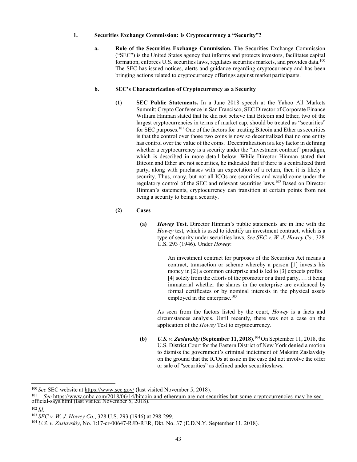## **1. Securities Exchange Commission: Is Cryptocurrency a "Security"?**

**a. Role of the Securities Exchange Commission.** The Securities Exchange Commission ("SEC") is the United States agency that informs and protects investors, facilitates capital formation, enforces U.S. securities laws, regulates securities markets, and provides data.<sup>100</sup> The SEC has issued notices, alerts and guidance regarding cryptocurrency and has been bringing actions related to cryptocurrency offerings against market participants.

## **b. SEC's Characterization of Cryptocurrency as a Security**

**(1) SEC Public Statements.** In a June 2018 speech at the Yahoo All Markets Summit: Crypto Conference in San Francisco, SEC Director of Corporate Finance William Hinman stated that he did not believe that Bitcoin and Ether, two of the largest cryptocurrencies in terms of market cap, should be treated as "securities" for SEC purposes[.101](#page-46-1) One of the factors for treating Bitcoin and Ether as securities is that the control over those two coins is now so decentralized that no one entity has control over the value of the coins. Decentralization is a key factor in defining whether a cryptocurrency is a security under the "investment contract" paradigm, which is described in more detail below. While Director Hinman stated that Bitcoin and Ether are not securities, he indicated that if there is a centralized third party, along with purchases with an expectation of a return, then it is likely a security. Thus, many, but not all ICOs are securities and would come under the regulatory control of the SEC and relevant securities laws[.102](#page-46-2) Based on Director Hinman's statements, cryptocurrency can transition at certain points from not being a security to being a security.

## **(2) Cases**

**(a)** *Howey* **Test.** Director Hinman's public statements are in line with the *Howey* test, which is used to identify an investment contract, which is a type of security under securities laws. *See SEC v. W. J. Howey Co.*, 328 U.S. 293 (1946). Under *Howey*:

> An investment contract for purposes of the Securities Act means a contract, transaction or scheme whereby a person [1] invests his money in [2] a common enterprise and is led to [3] expects profits [4] solely from the efforts of the promoter or a third party, … it being immaterial whether the shares in the enterprise are evidenced by formal certificates or by nominal interests in the physical assets employed in the enterprise.<sup>103</sup>

As seen from the factors listed by the court, *Howey* is a facts and circumstances analysis. Until recently, there was not a case on the application of the *Howey* Test to cryptocurrency.

**(b)** *U.S. v. Zaslavskiy* **(September 11, 2018).**[104](#page-46-4) On September 11, 2018, the U.S. District Court for the Eastern District of New York denied a motion to dismiss the government's criminal indictment of Maksim Zaslavskiy on the ground that the ICOs at issue in the case did not involve the offer or sale of "securities" as defined under securitieslaws.

<span id="page-46-0"></span><sup>&</sup>lt;sup>100</sup> See SEC website at<https://www.sec.gov/> (last visited November 5, 2018).

<span id="page-46-1"></span><sup>101</sup> *See* [https://www.cnbc.com/2018/06/14/bitcoin-and-ethereum-are-not-securities-but-some-cryptocurrencies-may-be-sec-](https://www.cnbc.com/2018/06/14/bitcoin-and-ethereum-are-not-securities-but-some-cryptocurrencies-may-be-sec-official-says.html) official-says.html (last visited November 5, 2018).

<span id="page-46-2"></span><sup>102</sup>*Id.*

<span id="page-46-3"></span><sup>103</sup>*SEC v. W. J. Howey Co.*, 328 U.S. 293 (1946) at 298-299.

<span id="page-46-4"></span><sup>104</sup> *U.S. v. Zaslavskiy*, No. 1:17-cr-00647-RJD-RER, Dkt. No. 37 (E.D.N.Y. September 11, 2018).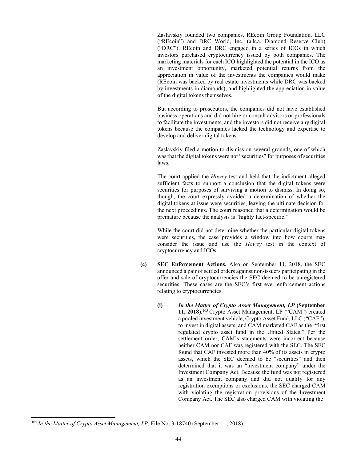Zaslavskiy founded two companies, REcoin Group Foundation, LLC ("REcoin") and DRC World, Inc. (a.k.a. Diamond Reserve Club) ("DRC"). REcoin and DRC engaged in a series of ICOs in which investors purchased cryptocurrency issued by both companies. The marketing materials for each ICO highlighted the potential in the ICO as an investment opportunity, marketed potential returns from the appreciation in value of the investments the companies would make (REcoin was backed by real estate investments while DRC was backed by investments in diamonds), and highlighted the appreciation in value of the digital tokens themselves.

But according to prosecutors, the companies did not have established business operations and did not hire or consult advisors or professionals to facilitate the investments, and the investors did not receive any digital tokens because the companies lacked the technology and expertise to develop and deliver digital tokens.

Zaslavskiy filed a motion to dismiss on several grounds, one of which was that the digital tokens were not "securities" for purposes of securities laws.

The court applied the *Howey* test and held that the indictment alleged sufficient facts to support a conclusion that the digital tokens were securities for purposes of surviving a motion to dismiss. In doing so, though, the court expressly avoided a determination of whether the digital tokens at issue were securities, leaving the ultimate decision for the next proceedings. The court reasoned that a determination would be premature because the analysis is "highly fact-specific."

While the court did not determine whether the particular digital tokens were securities, the case provides a window into how courts may consider the issue and use the *Howey* test in the context of cryptocurrency and ICOs.

- **(c) SEC Enforcement Actions.** Also on September 11, 2018, the SEC announced a pair of settled orders against non-issuers participating in the offer and sale of cryptocurrencies the SEC deemed to be unregistered securities. These cases are the SEC's first ever enforcement actions relating to cryptocurrencies.
	- **(i)** *In the Matter of Crypto Asset Management, LP* **(September**  11, 2018).<sup>[105](#page-47-0)</sup> Crypto Asset Management, LP ("CAM") created a pooled investment vehicle, Crypto Asset Fund, LLC ("CAF"), to invest in digital assets, and CAM marketed CAF as the "first regulated crypto asset fund in the United States." Per the settlement order, CAM's statements were incorrect because neither CAM nor CAF was registered with the SEC. The SEC found that CAF invested more than 40% of its assets in crypto assets, which the SEC deemed to be "securities" and then determined that it was an "investment company" under the Investment Company Act. Because the fund was not registered as an investment company and did not qualify for any registration exemptions or exclusions, the SEC charged CAM with violating the registration provisions of the Investment Company Act. The SEC also charged CAM with violating the

<span id="page-47-0"></span><sup>&</sup>lt;sup>105</sup> In the Matter of Crypto Asset Management, LP, File No. 3-18740 (September 11, 2018).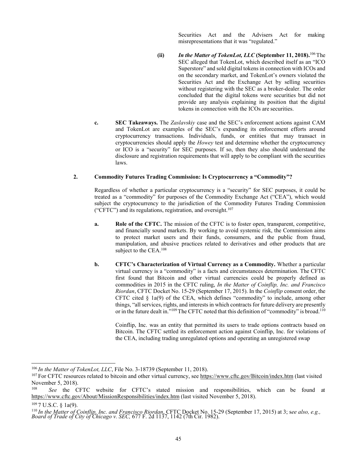Securities Act and the Advisers Act for making misrepresentations that it was "regulated."

- **(ii)** *In the Matter of TokenLot, LLC* (September 11, 2018).<sup>106</sup> The SEC alleged that TokenLot, which described itself as an "ICO Superstore" and sold digital tokens in connection with ICOs and on the secondary market, and TokenLot's owners violated the Securities Act and the Exchange Act by selling securities without registering with the SEC as a broker-dealer. The order concluded that the digital tokens were securities but did not provide any analysis explaining its position that the digital tokens in connection with the ICOs are securities.
- **c. SEC Takeaways.** The *Zaslavskiy* case and the SEC's enforcement actions against CAM and TokenLot are examples of the SEC's expanding its enforcement efforts around cryptocurrency transactions. Individuals, funds, or entities that may transact in cryptocurrencies should apply the *Howey* test and determine whether the cryptocurrency or ICO is a "security" for SEC purposes. If so, then they also should understand the disclosure and registration requirements that will apply to be compliant with the securities laws.

### **2. Commodity Futures Trading Commission: Is Cryptocurrency a "Commodity"?**

Regardless of whether a particular cryptocurrency is a "security" for SEC purposes, it could be treated as a "commodity" for purposes of the Commodity Exchange Act ("CEA"), which would subject the cryptocurrency to the jurisdiction of the Commodity Futures Trading Commission ("CFTC") and its regulations, registration, and oversight. $107$ 

- **a. Role of the CFTC.** The mission of the CFTC is to foster open, transparent, competitive, and financially sound markets. By working to avoid systemic risk, the Commission aims to protect market users and their funds, consumers, and the public from fraud, manipulation, and abusive practices related to derivatives and other products that are subject to the CEA.<sup>108</sup>
- **b. CFTC's Characterization of Virtual Currency as a Commodity.** Whether a particular virtual currency is a "commodity" is a facts and circumstances determination. The CFTC first found that Bitcoin and other virtual currencies could be properly defined as commodities in 2015 in the CFTC ruling, *In the Matter of Coinflip, Inc. and Francisco Riordan*, CFTC Docket No. 15-29 (September 17, 2015). In the *Coinflip* consent order, the CFTC cited § 1a(9) of the CEA, which defines "commodity" to include, among other things, "all services, rights, and interestsin which contracts for future delivery are presently or in the future dealt in."<sup>109</sup> The CFTC noted that this definition of "commodity" is broad.<sup>110</sup>

Coinflip, Inc. was an entity that permitted its users to trade options contracts based on Bitcoin. The CFTC settled its enforcement action against Coinflip, Inc. for violations of the CEA, including trading unregulated options and operating an unregistered swap

<span id="page-48-0"></span><sup>106</sup>*In the Matter of TokenLot, LLC*, File No. 3-18739 (September 11, 2018).

<span id="page-48-1"></span><sup>107</sup> For CFTC resources related to bitcoin and other virtual currency, se[e https://www.cftc.gov/Bitcoin/index.htm](https://www.cftc.gov/Bitcoin/index.htm) (last visited November 5, 2018).

<span id="page-48-2"></span><sup>108</sup> *See* the CFTC website for CFTC's stated mission and responsibilities, which can be found at <https://www.cftc.gov/About/MissionResponsibilities/index.htm> (last visited November 5, 2018).

<span id="page-48-4"></span><span id="page-48-3"></span> $1097$  U.S.C. § 1a(9).

<sup>110</sup>*In the Matter of Coinflip, Inc. and Francisco Riordan*, CFTC Docket No. 15-29 (September 17, 2015) at 3; s*ee also, e.g., Board of Trade of City of Chicago v. SEC,* 677 F. 2d 1137, 1142 (7th Cir. 1982).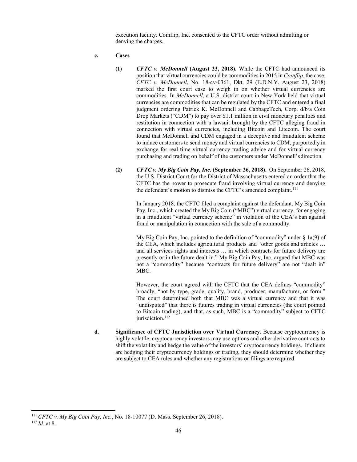execution facility. Coinflip, Inc. consented to the CFTC order without admitting or denying the charges.

- **c. Cases**
	- **(1)** *CFTC v. McDonnell* **(August 23, 2018).** While the CFTC had announced its position that virtual currencies could be commoditiesin 2015 in *Coinflip*, the case, *CFTC v. McDonnell*, No. 18-cv-0361, Dkt. 29 (E.D.N.Y. August 23, 2018) marked the first court case to weigh in on whether virtual currencies are commodities. In *McDonnell*, a U.S. district court in New York held that virtual currencies are commodities that can be regulated by the CFTC and entered a final judgment ordering Patrick K. McDonnell and CabbageTech, Corp. d/b/a Coin Drop Markets ("CDM") to pay over \$1.1 million in civil monetary penalties and restitution in connection with a lawsuit brought by the CFTC alleging fraud in connection with virtual currencies, including Bitcoin and Litecoin. The court found that McDonnell and CDM engaged in a deceptive and fraudulent scheme to induce customers to send money and virtual currencies to CDM, purportedly in exchange for real-time virtual currency trading advice and for virtual currency purchasing and trading on behalf of the customers under McDonnell'sdirection.
	- **(2)** *CFTC v. My Big Coin Pay, Inc.* **(September 26, 2018).** On September 26, 2018, the U.S. District Court for the District of Massachusetts entered an order that the CFTC has the power to prosecute fraud involving virtual currency and denying the defendant's motion to dismiss the CFTC's amended complaint.<sup>111</sup>

In January 2018, the CFTC filed a complaint against the defendant, My Big Coin Pay, Inc., which created the My Big Coin ("MBC") virtual currency, for engaging in a fraudulent "virtual currency scheme" in violation of the CEA's ban against fraud or manipulation in connection with the sale of a commodity.

My Big Coin Pay, Inc. pointed to the definition of "commodity" under § 1a(9) of the CEA, which includes agricultural products and "other goods and articles … and all services rights and interests … in which contracts for future delivery are presently or in the future dealt in." My Big Coin Pay, Inc. argued that MBC was not a "commodity" because "contracts for future delivery" are not "dealt in" MBC.

However, the court agreed with the CFTC that the CEA defines "commodity" broadly, "not by type, grade, quality, brand, producer, manufacturer, or form." The court determined both that MBC was a virtual currency and that it was "undisputed" that there is futures trading in virtual currencies (the court pointed to Bitcoin trading), and that, as such, MBC is a "commodity" subject to CFTC jurisdiction.<sup>112</sup>

**d. Significance of CFTC Jurisdiction over Virtual Currency.** Because cryptocurrency is highly volatile, cryptocurrency investors may use options and other derivative contracts to shift the volatility and hedge the value of the investors' cryptocurrency holdings. If clients are hedging their cryptocurrency holdings or trading, they should determine whether they are subject to CEA rules and whether any registrations or filings are required.

<span id="page-49-1"></span><span id="page-49-0"></span><sup>111</sup>*CFTC v. My Big Coin Pay, Inc.*, No. 18-10077 (D. Mass. September 26, 2018). 112 *Id.* at 8.